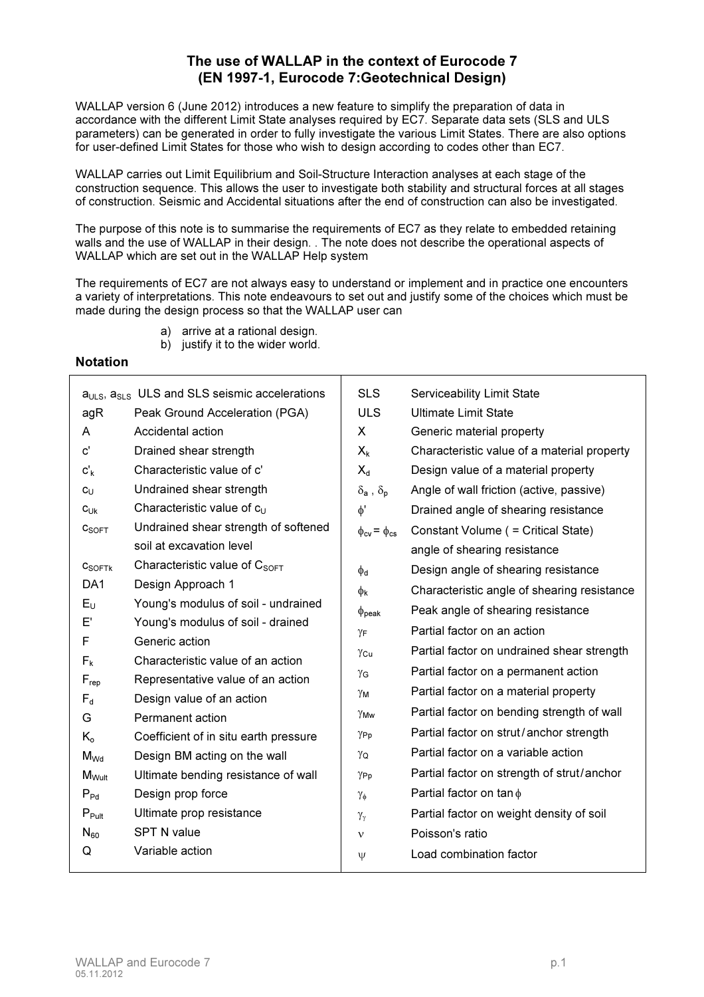# The use of WALLAP in the context of Eurocode 7 (EN 1997-1, Eurocode 7:Geotechnical Design)

WALLAP version 6 (June 2012) introduces a new feature to simplify the preparation of data in accordance with the different Limit State analyses required by EC7. Separate data sets (SLS and ULS parameters) can be generated in order to fully investigate the various Limit States. There are also options for user-defined Limit States for those who wish to design according to codes other than EC7.

WALLAP carries out Limit Equilibrium and Soil-Structure Interaction analyses at each stage of the construction sequence. This allows the user to investigate both stability and structural forces at all stages of construction. Seismic and Accidental situations after the end of construction can also be investigated.

The purpose of this note is to summarise the requirements of EC7 as they relate to embedded retaining walls and the use of WALLAP in their design. . The note does not describe the operational aspects of WALLAP which are set out in the WALLAP Help system

The requirements of EC7 are not always easy to understand or implement and in practice one encounters a variety of interpretations. This note endeavours to set out and justify some of the choices which must be made during the design process so that the WALLAP user can

- a) arrive at a rational design.
- b) justify it to the wider world.

# Notation

| $aULS, aSLS$ ULS and SLS seismic accelerations |                                                                       | <b>SLS</b>                                    | Serviceability Limit State                  |
|------------------------------------------------|-----------------------------------------------------------------------|-----------------------------------------------|---------------------------------------------|
| agR                                            | Peak Ground Acceleration (PGA)                                        | <b>ULS</b>                                    | <b>Ultimate Limit State</b>                 |
| A                                              | Accidental action                                                     | X                                             | Generic material property                   |
| $\mathbf{c}^{\prime}$                          | Drained shear strength                                                | $X_k$                                         | Characteristic value of a material property |
| $c'_{k}$                                       | Characteristic value of c'                                            | $X_d$                                         | Design value of a material property         |
| $c_{\cup}$                                     | Undrained shear strength                                              | $\delta_{\mathsf{a}}$ , $\delta_{\mathsf{p}}$ | Angle of wall friction (active, passive)    |
| $c_{Uk}$                                       | Characteristic value of $c_U$                                         | $\phi'$                                       | Drained angle of shearing resistance        |
| C <sub>SOFF</sub>                              | Undrained shear strength of softened                                  | $\phi_{cv} = \phi_{cs}$                       | Constant Volume ( = Critical State)         |
|                                                | soil at excavation level                                              |                                               | angle of shearing resistance                |
| $C_{\text{SOFTk}}$                             | Characteristic value of C <sub>SOFT</sub>                             | $\phi$ d                                      | Design angle of shearing resistance         |
| DA <sub>1</sub>                                | Design Approach 1                                                     | $\phi_{\mathsf{k}}$                           | Characteristic angle of shearing resistance |
| $E_U$                                          | Young's modulus of soil - undrained                                   | $\Phi_{\mathsf{peak}}$                        | Peak angle of shearing resistance           |
| E'                                             | Young's modulus of soil - drained                                     | ΥF                                            | Partial factor on an action                 |
| F                                              | Generic action                                                        | Ycu                                           | Partial factor on undrained shear strength  |
| $F_{k}$                                        | Characteristic value of an action                                     | γG                                            | Partial factor on a permanent action        |
| $F_{\text{rep}}$                               | Representative value of an action                                     | γм                                            | Partial factor on a material property       |
| $F_d$                                          | Design value of an action                                             | YMw                                           | Partial factor on bending strength of wall  |
| G                                              | Permanent action                                                      | YPp                                           | Partial factor on strut/anchor strength     |
| $K_{o}$<br>$M_{Wd}$                            | Coefficient of in situ earth pressure<br>Design BM acting on the wall | YQ                                            | Partial factor on a variable action         |
| $M_{Wult}$                                     | Ultimate bending resistance of wall                                   | YPp                                           | Partial factor on strength of strut/anchor  |
| $P_{Pd}$                                       | Design prop force                                                     |                                               | Partial factor on $\tan \phi$               |
| $P_{Pult}$                                     | Ultimate prop resistance                                              | $\gamma_{\Phi}$                               | Partial factor on weight density of soil    |
| $N_{60}$                                       | <b>SPT N value</b>                                                    | $\gamma_{\gamma}$                             |                                             |
| Q                                              | Variable action                                                       | $\mathbf{v}$                                  | Poisson's ratio                             |
|                                                |                                                                       | $\Psi$                                        | Load combination factor                     |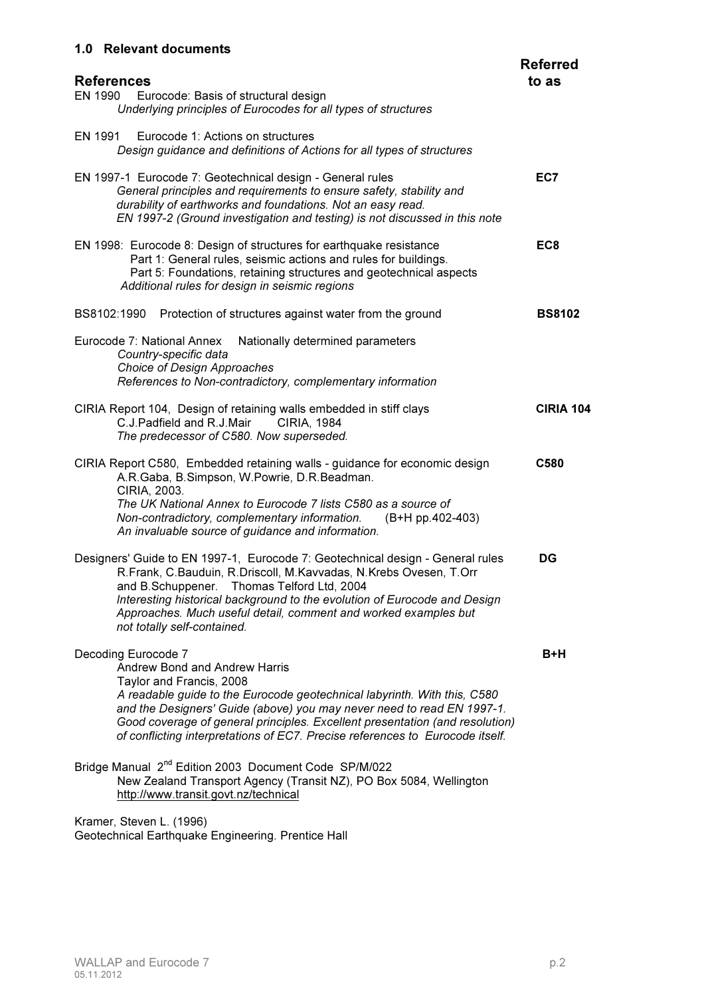# 1.0 Relevant documents

| <b>References</b>                                                                                                                                                                                                                                                                                                                                                                                       | <b>Referred</b><br>to as |
|---------------------------------------------------------------------------------------------------------------------------------------------------------------------------------------------------------------------------------------------------------------------------------------------------------------------------------------------------------------------------------------------------------|--------------------------|
| EN 1990<br>Eurocode: Basis of structural design<br>Underlying principles of Eurocodes for all types of structures                                                                                                                                                                                                                                                                                       |                          |
| EN 1991<br>Eurocode 1: Actions on structures<br>Design guidance and definitions of Actions for all types of structures                                                                                                                                                                                                                                                                                  |                          |
| EN 1997-1 Eurocode 7: Geotechnical design - General rules<br>General principles and requirements to ensure safety, stability and<br>durability of earthworks and foundations. Not an easy read.<br>EN 1997-2 (Ground investigation and testing) is not discussed in this note                                                                                                                           | EC7                      |
| EN 1998: Eurocode 8: Design of structures for earthquake resistance<br>Part 1: General rules, seismic actions and rules for buildings.<br>Part 5: Foundations, retaining structures and geotechnical aspects<br>Additional rules for design in seismic regions                                                                                                                                          | EC <sub>8</sub>          |
| BS8102:1990<br>Protection of structures against water from the ground                                                                                                                                                                                                                                                                                                                                   | <b>BS8102</b>            |
| Eurocode 7: National Annex<br>Nationally determined parameters<br>Country-specific data<br>Choice of Design Approaches<br>References to Non-contradictory, complementary information                                                                                                                                                                                                                    |                          |
| CIRIA Report 104, Design of retaining walls embedded in stiff clays<br>C.J.Padfield and R.J.Mair<br>CIRIA, 1984<br>The predecessor of C580. Now superseded.                                                                                                                                                                                                                                             | <b>CIRIA 104</b>         |
| CIRIA Report C580, Embedded retaining walls - guidance for economic design<br>A.R.Gaba, B.Simpson, W.Powrie, D.R.Beadman.<br>CIRIA, 2003.<br>The UK National Annex to Eurocode 7 lists C580 as a source of<br>Non-contradictory, complementary information. (B+H pp.402-403)<br>An invaluable source of guidance and information.                                                                       | C580                     |
| Designers' Guide to EN 1997-1, Eurocode 7: Geotechnical design - General rules<br>R.Frank, C.Bauduin, R.Driscoll, M.Kavvadas, N.Krebs Ovesen, T.Orr<br>and B.Schuppener. Thomas Telford Ltd, 2004<br>Interesting historical background to the evolution of Eurocode and Design<br>Approaches. Much useful detail, comment and worked examples but<br>not totally self-contained.                        | DG                       |
| Decoding Eurocode 7<br>Andrew Bond and Andrew Harris<br>Taylor and Francis, 2008<br>A readable guide to the Eurocode geotechnical labyrinth. With this, C580<br>and the Designers' Guide (above) you may never need to read EN 1997-1.<br>Good coverage of general principles. Excellent presentation (and resolution)<br>of conflicting interpretations of EC7. Precise references to Eurocode itself. | B+H                      |
| Bridge Manual 2 <sup>nd</sup> Edition 2003 Document Code SP/M/022<br>New Zealand Transport Agency (Transit NZ), PO Box 5084, Wellington<br>http://www.transit.govt.nz/technical                                                                                                                                                                                                                         |                          |
|                                                                                                                                                                                                                                                                                                                                                                                                         |                          |

Kramer, Steven L. (1996) Geotechnical Earthquake Engineering. Prentice Hall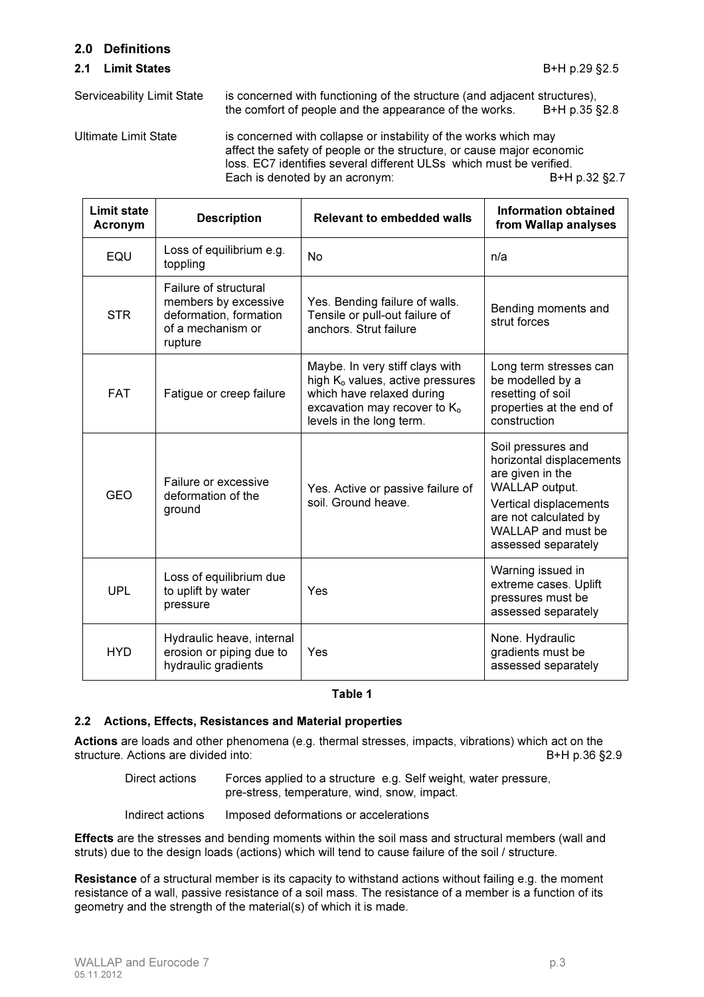## 2.0 Definitions

#### **2.1 Limit States** B+H p.29 §2.5

Serviceability Limit State is concerned with functioning of the structure (and adjacent structures), the comfort of people and the appearance of the works. B+H p.35 §2.8

Ultimate Limit State is concerned with collapse or instability of the works which may affect the safety of people or the structure, or cause major economic loss. EC7 identifies several different ULSs which must be verified.<br>Each is denoted by an acronym: B+H p.32 §2.7 Each is denoted by an acronym:

| <b>Limit state</b><br><b>Acronym</b> | <b>Description</b>                                                                                      | <b>Relevant to embedded walls</b>                                                                                                                                                    | <b>Information obtained</b><br>from Wallap analyses                                                                                                                                  |
|--------------------------------------|---------------------------------------------------------------------------------------------------------|--------------------------------------------------------------------------------------------------------------------------------------------------------------------------------------|--------------------------------------------------------------------------------------------------------------------------------------------------------------------------------------|
| EQU                                  | Loss of equilibrium e.g.<br>toppling                                                                    | No                                                                                                                                                                                   | n/a                                                                                                                                                                                  |
| <b>STR</b>                           | Failure of structural<br>members by excessive<br>deformation, formation<br>of a mechanism or<br>rupture | Yes. Bending failure of walls.<br>Tensile or pull-out failure of<br>anchors. Strut failure                                                                                           | Bending moments and<br>strut forces                                                                                                                                                  |
| <b>FAT</b>                           | Fatigue or creep failure                                                                                | Maybe. In very stiff clays with<br>high K <sub>o</sub> values, active pressures<br>which have relaxed during<br>excavation may recover to K <sub>o</sub><br>levels in the long term. | Long term stresses can<br>be modelled by a<br>resetting of soil<br>properties at the end of<br>construction                                                                          |
| <b>GEO</b>                           | Failure or excessive<br>deformation of the<br>ground                                                    | Yes. Active or passive failure of<br>soil. Ground heave.                                                                                                                             | Soil pressures and<br>horizontal displacements<br>are given in the<br>WALLAP output.<br>Vertical displacements<br>are not calculated by<br>WALLAP and must be<br>assessed separately |
| <b>UPL</b>                           | Loss of equilibrium due<br>to uplift by water<br>pressure                                               | Yes                                                                                                                                                                                  | Warning issued in<br>extreme cases. Uplift<br>pressures must be<br>assessed separately                                                                                               |
| <b>HYD</b>                           | Hydraulic heave, internal<br>erosion or piping due to<br>hydraulic gradients                            | Yes                                                                                                                                                                                  | None. Hydraulic<br>gradients must be<br>assessed separately                                                                                                                          |

#### Table 1

# 2.2 Actions, Effects, Resistances and Material properties

Actions are loads and other phenomena (e.g. thermal stresses, impacts, vibrations) which act on the structure. Actions are divided into: Best and the structure. B+H p.36 §2.9

Direct actions Forces applied to a structure e.g. Self weight, water pressure, pre-stress, temperature, wind, snow, impact.

Indirect actions Imposed deformations or accelerations

**Effects** are the stresses and bending moments within the soil mass and structural members (wall and struts) due to the design loads (actions) which will tend to cause failure of the soil / structure.

Resistance of a structural member is its capacity to withstand actions without failing e.g. the moment resistance of a wall, passive resistance of a soil mass. The resistance of a member is a function of its geometry and the strength of the material(s) of which it is made.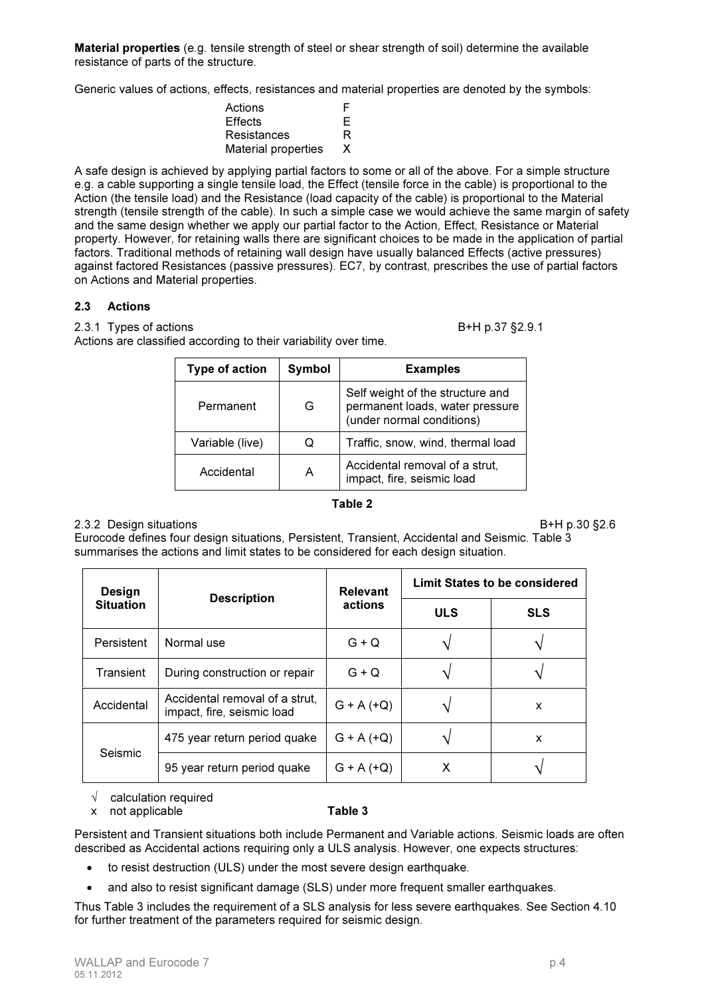Material properties (e.g. tensile strength of steel or shear strength of soil) determine the available resistance of parts of the structure.

Generic values of actions, effects, resistances and material properties are denoted by the symbols:

| Actions                    | F  |
|----------------------------|----|
| Effects                    | Е  |
| Resistances                | R  |
| <b>Material properties</b> | X. |

A safe design is achieved by applying partial factors to some or all of the above. For a simple structure e.g. a cable supporting a single tensile load, the Effect (tensile force in the cable) is proportional to the Action (the tensile load) and the Resistance (load capacity of the cable) is proportional to the Material strength (tensile strength of the cable). In such a simple case we would achieve the same margin of safety and the same design whether we apply our partial factor to the Action, Effect, Resistance or Material property. However, for retaining walls there are significant choices to be made in the application of partial factors. Traditional methods of retaining wall design have usually balanced Effects (active pressures) against factored Resistances (passive pressures). EC7, by contrast, prescribes the use of partial factors on Actions and Material properties.

### 2.3 Actions

2.3.1 Types of actions B+H p.37 §2.9.1

Actions are classified according to their variability over time.

| <b>Type of action</b> | Symbol | <b>Examples</b>                                                                                  |  |
|-----------------------|--------|--------------------------------------------------------------------------------------------------|--|
| G<br>Permanent        |        | Self weight of the structure and<br>permanent loads, water pressure<br>(under normal conditions) |  |
| Variable (live)       | O      | Traffic, snow, wind, thermal load                                                                |  |
| Accidental            | Α      | Accidental removal of a strut,<br>impact, fire, seismic load                                     |  |

#### Table 2

#### 2.3.2 Design situations B+H p.30 §2.6

Eurocode defines four design situations, Persistent, Transient, Accidental and Seismic. Table 3 summarises the actions and limit states to be considered for each design situation.

| Design           |                                                              | <b>Relevant</b> | <b>Limit States to be considered</b> |            |  |
|------------------|--------------------------------------------------------------|-----------------|--------------------------------------|------------|--|
| <b>Situation</b> | <b>Description</b>                                           | actions         | <b>ULS</b>                           | <b>SLS</b> |  |
| Persistent       | Normal use                                                   | $G + Q$         |                                      |            |  |
| Transient        | During construction or repair                                | $G + Q$         |                                      |            |  |
| Accidental       | Accidental removal of a strut,<br>impact, fire, seismic load | $G + A (+Q)$    |                                      | X          |  |
| Seismic          | 475 year return period quake                                 | $G + A (+Q)$    |                                      | X          |  |
|                  | 95 year return period quake                                  | $G + A (+ Q)$   | х                                    |            |  |

 $\sqrt{\phantom{a}}$  calculation required

#### x not applicable **Table 3**

Persistent and Transient situations both include Permanent and Variable actions. Seismic loads are often described as Accidental actions requiring only a ULS analysis. However, one expects structures:

- to resist destruction (ULS) under the most severe design earthquake.
- and also to resist significant damage (SLS) under more frequent smaller earthquakes.

Thus Table 3 includes the requirement of a SLS analysis for less severe earthquakes. See Section 4.10 for further treatment of the parameters required for seismic design.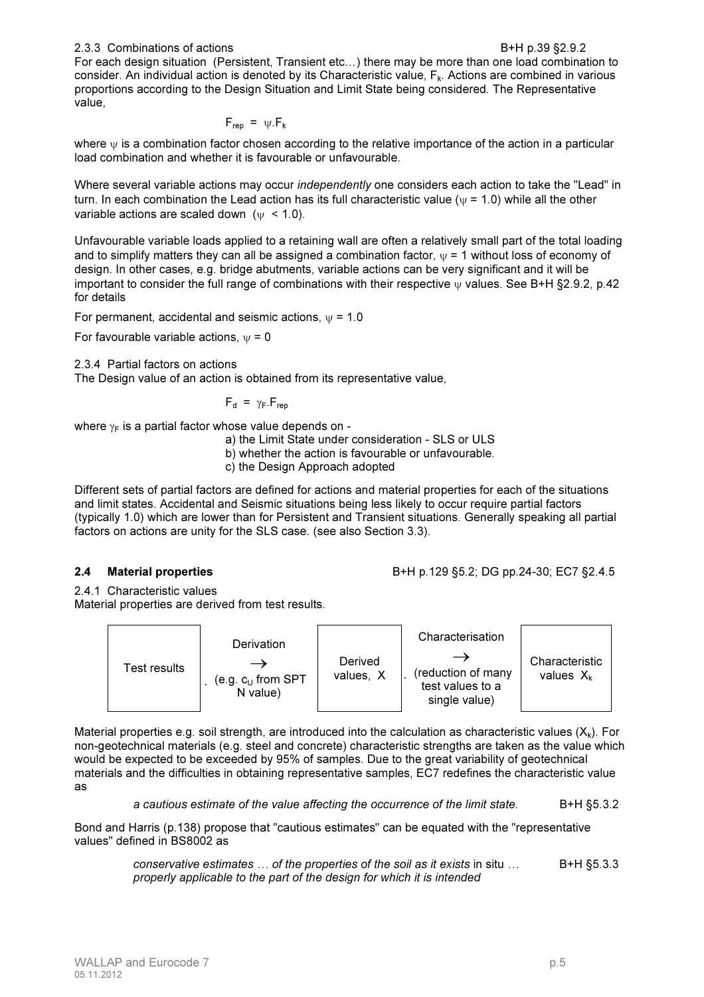For each design situation (Persistent, Transient etc…) there may be more than one load combination to consider. An individual action is denoted by its Characteristic value,  $F_k$ . Actions are combined in various proportions according to the Design Situation and Limit State being considered. The Representative value,

$$
F_{\text{rep}} = \psi.F_k
$$

where  $\psi$  is a combination factor chosen according to the relative importance of the action in a particular load combination and whether it is favourable or unfavourable.

Where several variable actions may occur *independently* one considers each action to take the "Lead" in turn. In each combination the Lead action has its full characteristic value ( $\psi$  = 1.0) while all the other variable actions are scaled down  $(w < 1.0)$ .

Unfavourable variable loads applied to a retaining wall are often a relatively small part of the total loading and to simplify matters they can all be assigned a combination factor,  $\psi = 1$  without loss of economy of design. In other cases, e.g. bridge abutments, variable actions can be very significant and it will be important to consider the full range of combinations with their respective ψ values. See B+H §2.9.2, p.42 for details

For permanent, accidental and seismic actions,  $\psi$  = 1.0

For favourable variable actions,  $\psi = 0$ 

2.3.4 Partial factors on actions

The Design value of an action is obtained from its representative value,

$$
F_{d} = \gamma_{F} . F_{rep}
$$

where  $\gamma_F$  is a partial factor whose value depends on -

a) the Limit State under consideration - SLS or ULS

b) whether the action is favourable or unfavourable.

c) the Design Approach adopted

Different sets of partial factors are defined for actions and material properties for each of the situations and limit states. Accidental and Seismic situations being less likely to occur require partial factors (typically 1.0) which are lower than for Persistent and Transient situations. Generally speaking all partial factors on actions are unity for the SLS case. (see also Section 3.3).

2.4 Material properties B+H p.129 §5.2; DG pp.24-30; EC7 §2.4.5

2.4.1 Characteristic values Material properties are derived from test results.



Material properties e.g. soil strength, are introduced into the calculation as characteristic values  $(X_k)$ . For non-geotechnical materials (e.g. steel and concrete) characteristic strengths are taken as the value which would be expected to be exceeded by 95% of samples. Due to the great variability of geotechnical materials and the difficulties in obtaining representative samples, EC7 redefines the characteristic value as

*a cautious estimate of the value affecting the occurrence of the limit state.* B+H §5.3.2

Bond and Harris (p.138) propose that "cautious estimates" can be equated with the "representative values" defined in BS8002 as

> *conservative estimates ... of the properties of the soil as it exists in situ ...* B+H §5.3.3 *properly applicable to the part of the design for which it is intended*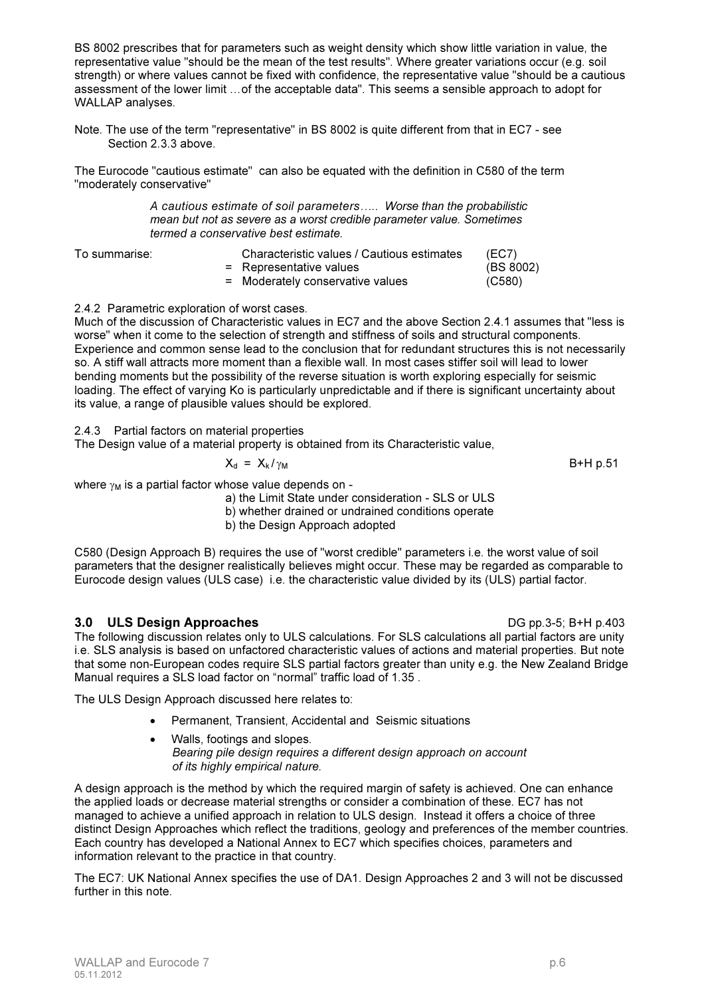BS 8002 prescribes that for parameters such as weight density which show little variation in value, the representative value "should be the mean of the test results". Where greater variations occur (e.g. soil strength) or where values cannot be fixed with confidence, the representative value "should be a cautious assessment of the lower limit …of the acceptable data". This seems a sensible approach to adopt for WALLAP analyses.

Note. The use of the term "representative" in BS 8002 is quite different from that in EC7 - see Section 2.3.3 above.

The Eurocode "cautious estimate" can also be equated with the definition in C580 of the term "moderately conservative"

> *A cautious estimate of soil parameters….. Worse than the probabilistic mean but not as severe as a worst credible parameter value. Sometimes termed a conservative best estimate.*

To summarise:

| Characteristic values / Cautious estimates | (EC7)     |
|--------------------------------------------|-----------|
| = Representative values                    | (BS 8002) |
| = Moderately conservative values           | (C580)    |

### 2.4.2 Parametric exploration of worst cases.

Much of the discussion of Characteristic values in EC7 and the above Section 2.4.1 assumes that "less is worse" when it come to the selection of strength and stiffness of soils and structural components. Experience and common sense lead to the conclusion that for redundant structures this is not necessarily so. A stiff wall attracts more moment than a flexible wall. In most cases stiffer soil will lead to lower bending moments but the possibility of the reverse situation is worth exploring especially for seismic loading. The effect of varying Ko is particularly unpredictable and if there is significant uncertainty about its value, a range of plausible values should be explored.

2.4.3 Partial factors on material properties

The Design value of a material property is obtained from its Characteristic value,

$$
X_{d} = X_{k}/\gamma_{M}
$$
 B+H p.51

where  $\gamma_M$  is a partial factor whose value depends on -

a) the Limit State under consideration - SLS or ULS

b) whether drained or undrained conditions operate

b) the Design Approach adopted

C580 (Design Approach B) requires the use of "worst credible" parameters i.e. the worst value of soil parameters that the designer realistically believes might occur. These may be regarded as comparable to Eurocode design values (ULS case) i.e. the characteristic value divided by its (ULS) partial factor.

# 3.0 ULS Design Approaches DG pp.3-5; B+H p.403

The following discussion relates only to ULS calculations. For SLS calculations all partial factors are unity i.e. SLS analysis is based on unfactored characteristic values of actions and material properties. But note that some non-European codes require SLS partial factors greater than unity e.g. the New Zealand Bridge Manual requires a SLS load factor on "normal" traffic load of 1.35 .

The ULS Design Approach discussed here relates to:

- Permanent, Transient, Accidental and Seismic situations
- Walls, footings and slopes. *Bearing pile design requires a different design approach on account of its highly empirical nature.*

A design approach is the method by which the required margin of safety is achieved. One can enhance the applied loads or decrease material strengths or consider a combination of these. EC7 has not managed to achieve a unified approach in relation to ULS design. Instead it offers a choice of three distinct Design Approaches which reflect the traditions, geology and preferences of the member countries. Each country has developed a National Annex to EC7 which specifies choices, parameters and information relevant to the practice in that country.

The EC7: UK National Annex specifies the use of DA1. Design Approaches 2 and 3 will not be discussed further in this note.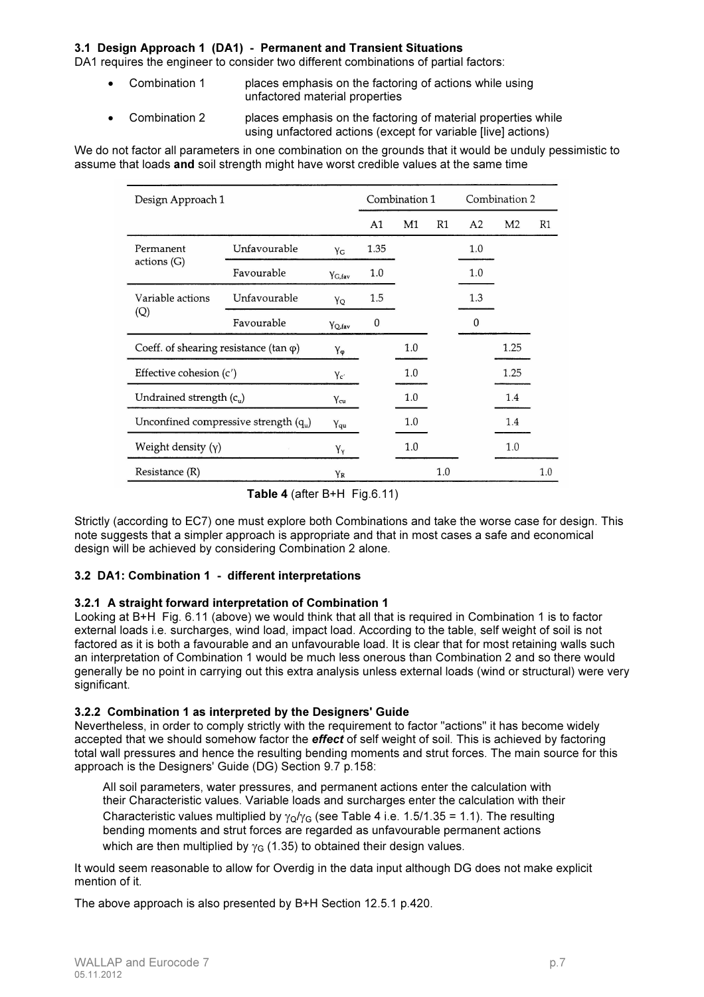#### 3.1 Design Approach 1 (DA1) - Permanent and Transient Situations

DA1 requires the engineer to consider two different combinations of partial factors:

- Combination 1 **places emphasis on the factoring of actions while using** unfactored material properties
- Combination 2 places emphasis on the factoring of material properties while using unfactored actions (except for variable [live] actions)

We do not factor all parameters in one combination on the grounds that it would be unduly pessimistic to assume that loads and soil strength might have worst credible values at the same time

| Design Approach 1                              |              | Combination 1      |                | Combination 2 |    |     |                |    |
|------------------------------------------------|--------------|--------------------|----------------|---------------|----|-----|----------------|----|
|                                                |              |                    | A <sub>1</sub> | M1            | R1 | A2  | M <sub>2</sub> | R1 |
| Permanent                                      | Unfavourable | Yc                 | 1.35           |               |    | 1.0 |                |    |
| actions(G)                                     | Favourable   | Y <sub>G</sub> fav | 1.0            |               |    | 1.0 |                |    |
| Variable actions                               | Unfavourable | YQ                 | 1.5            |               |    | 1.3 |                |    |
| (Q)                                            | Favourable   | <b>YQ</b> fav      | 0              |               |    | 0   |                |    |
| Coeff. of shearing resistance (tan $\varphi$ ) |              | Yφ                 |                | 1.0           |    |     | 1.25           |    |
| Effective cohesion (c')                        |              | Yc'                |                | 1.0           |    |     | 1.25           |    |
| Undrained strength $(c_u)$                     |              | $Y_{cu}$           |                | 1.0           |    |     | 1.4            |    |
| Unconfined compressive strength $(q_u)$        |              | Yqu                |                | 1.0           |    |     | 1.4            |    |
| Weight density $(y)$                           | Yy           |                    | 1.0            |               |    | 1.0 |                |    |
| Resistance (R)                                 | YR           |                    |                | 1.0           |    |     | 1.0            |    |

Table 4 (after  $B+H$  Fig.6.11)

Strictly (according to EC7) one must explore both Combinations and take the worse case for design. This note suggests that a simpler approach is appropriate and that in most cases a safe and economical design will be achieved by considering Combination 2 alone.

#### 3.2 DA1: Combination 1 - different interpretations

#### 3.2.1 A straight forward interpretation of Combination 1

Looking at B+H Fig. 6.11 (above) we would think that all that is required in Combination 1 is to factor external loads i.e. surcharges, wind load, impact load. According to the table, self weight of soil is not factored as it is both a favourable and an unfavourable load. It is clear that for most retaining walls such an interpretation of Combination 1 would be much less onerous than Combination 2 and so there would generally be no point in carrying out this extra analysis unless external loads (wind or structural) were very significant.

#### 3.2.2 Combination 1 as interpreted by the Designers' Guide

Nevertheless, in order to comply strictly with the requirement to factor "actions" it has become widely accepted that we should somehow factor the **effect** of self weight of soil. This is achieved by factoring total wall pressures and hence the resulting bending moments and strut forces. The main source for this approach is the Designers' Guide (DG) Section 9.7 p.158:

All soil parameters, water pressures, and permanent actions enter the calculation with their Characteristic values. Variable loads and surcharges enter the calculation with their Characteristic values multiplied by  $\gamma_0/\gamma_G$  (see Table 4 i.e. 1.5/1.35 = 1.1). The resulting bending moments and strut forces are regarded as unfavourable permanent actions which are then multiplied by  $\gamma_G$  (1.35) to obtained their design values.

It would seem reasonable to allow for Overdig in the data input although DG does not make explicit mention of it.

The above approach is also presented by B+H Section 12.5.1 p.420.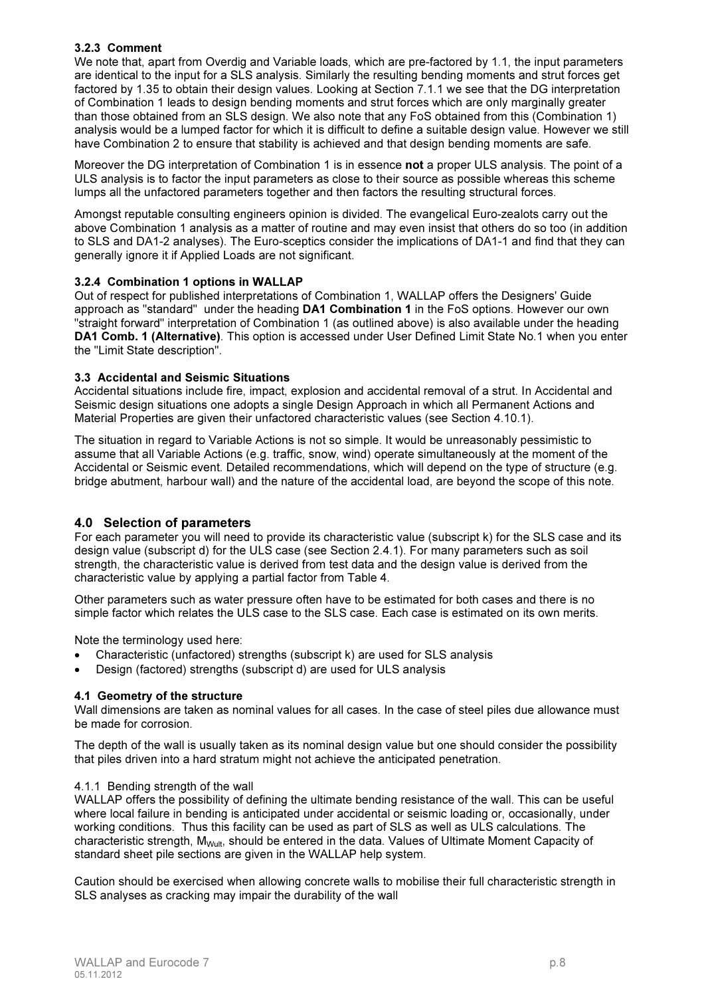## 3.2.3 Comment

We note that, apart from Overdig and Variable loads, which are pre-factored by 1.1, the input parameters are identical to the input for a SLS analysis. Similarly the resulting bending moments and strut forces get factored by 1.35 to obtain their design values. Looking at Section 7.1.1 we see that the DG interpretation of Combination 1 leads to design bending moments and strut forces which are only marginally greater than those obtained from an SLS design. We also note that any FoS obtained from this (Combination 1) analysis would be a lumped factor for which it is difficult to define a suitable design value. However we still have Combination 2 to ensure that stability is achieved and that design bending moments are safe.

Moreover the DG interpretation of Combination 1 is in essence not a proper ULS analysis. The point of a ULS analysis is to factor the input parameters as close to their source as possible whereas this scheme lumps all the unfactored parameters together and then factors the resulting structural forces.

Amongst reputable consulting engineers opinion is divided. The evangelical Euro-zealots carry out the above Combination 1 analysis as a matter of routine and may even insist that others do so too (in addition to SLS and DA1-2 analyses). The Euro-sceptics consider the implications of DA1-1 and find that they can generally ignore it if Applied Loads are not significant.

#### 3.2.4 Combination 1 options in WALLAP

Out of respect for published interpretations of Combination 1, WALLAP offers the Designers' Guide approach as "standard" under the heading DA1 Combination 1 in the FoS options. However our own "straight forward" interpretation of Combination 1 (as outlined above) is also available under the heading DA1 Comb. 1 (Alternative). This option is accessed under User Defined Limit State No.1 when you enter the "Limit State description".

#### 3.3 Accidental and Seismic Situations

Accidental situations include fire, impact, explosion and accidental removal of a strut. In Accidental and Seismic design situations one adopts a single Design Approach in which all Permanent Actions and Material Properties are given their unfactored characteristic values (see Section 4.10.1).

The situation in regard to Variable Actions is not so simple. It would be unreasonably pessimistic to assume that all Variable Actions (e.g. traffic, snow, wind) operate simultaneously at the moment of the Accidental or Seismic event. Detailed recommendations, which will depend on the type of structure (e.g. bridge abutment, harbour wall) and the nature of the accidental load, are beyond the scope of this note.

# 4.0 Selection of parameters

For each parameter you will need to provide its characteristic value (subscript k) for the SLS case and its design value (subscript d) for the ULS case (see Section 2.4.1). For many parameters such as soil strength, the characteristic value is derived from test data and the design value is derived from the characteristic value by applying a partial factor from Table 4.

Other parameters such as water pressure often have to be estimated for both cases and there is no simple factor which relates the ULS case to the SLS case. Each case is estimated on its own merits.

Note the terminology used here:

- Characteristic (unfactored) strengths (subscript k) are used for SLS analysis
- Design (factored) strengths (subscript d) are used for ULS analysis

#### 4.1 Geometry of the structure

Wall dimensions are taken as nominal values for all cases. In the case of steel piles due allowance must be made for corrosion.

The depth of the wall is usually taken as its nominal design value but one should consider the possibility that piles driven into a hard stratum might not achieve the anticipated penetration.

#### 4.1.1 Bending strength of the wall

WALLAP offers the possibility of defining the ultimate bending resistance of the wall. This can be useful where local failure in bending is anticipated under accidental or seismic loading or, occasionally, under working conditions. Thus this facility can be used as part of SLS as well as ULS calculations. The characteristic strength, M<sub>Wult</sub>, should be entered in the data. Values of Ultimate Moment Capacity of standard sheet pile sections are given in the WALLAP help system.

Caution should be exercised when allowing concrete walls to mobilise their full characteristic strength in SLS analyses as cracking may impair the durability of the wall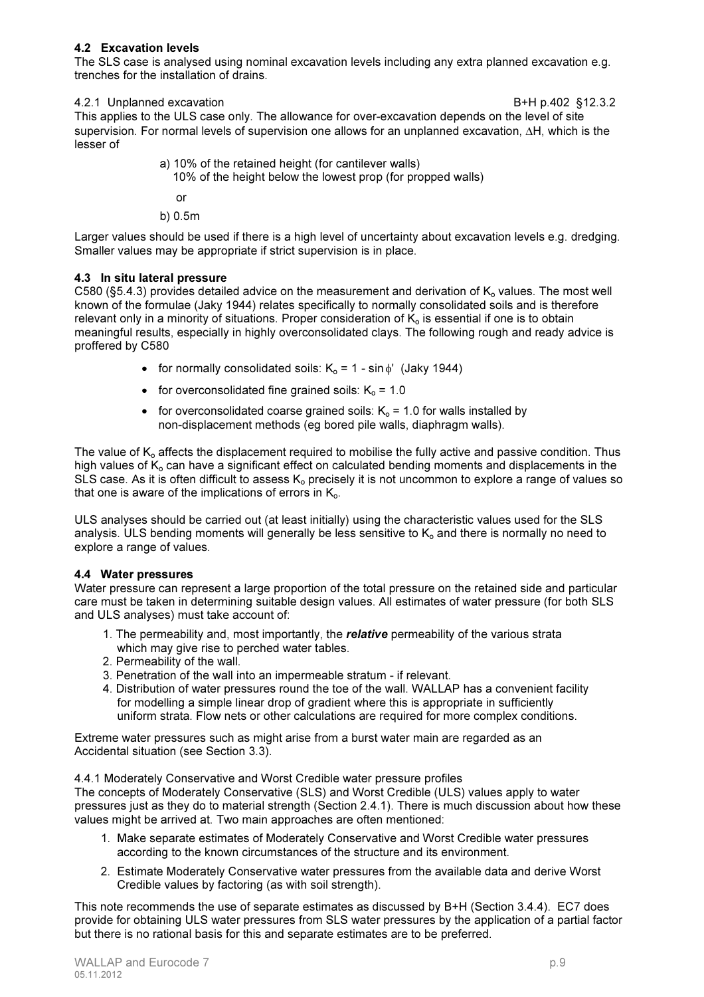#### 4.2 Excavation levels

The SLS case is analysed using nominal excavation levels including any extra planned excavation e.g. trenches for the installation of drains.

#### 4.2.1 Unplanned excavation B+H p.402 §12.3.2

This applies to the ULS case only. The allowance for over-excavation depends on the level of site supervision. For normal levels of supervision one allows for an unplanned excavation, ∆H, which is the lesser of

- a) 10% of the retained height (for cantilever walls)
	- 10% of the height below the lowest prop (for propped walls)

or

b) 0.5m

Larger values should be used if there is a high level of uncertainty about excavation levels e.g. dredging. Smaller values may be appropriate if strict supervision is in place.

### 4.3 In situ lateral pressure

C580 (§5.4.3) provides detailed advice on the measurement and derivation of  $K_0$  values. The most well known of the formulae (Jaky 1944) relates specifically to normally consolidated soils and is therefore relevant only in a minority of situations. Proper consideration of  $K_0$  is essential if one is to obtain meaningful results, especially in highly overconsolidated clays. The following rough and ready advice is proffered by C580

- for normally consolidated soils:  $K_0 = 1 \sin \phi'$  (Jaky 1944)
- for overconsolidated fine grained soils:  $K_0 = 1.0$
- for overconsolidated coarse grained soils:  $K_0 = 1.0$  for walls installed by non-displacement methods (eg bored pile walls, diaphragm walls).

The value of  $K_0$  affects the displacement required to mobilise the fully active and passive condition. Thus high values of  $K<sub>o</sub>$  can have a significant effect on calculated bending moments and displacements in the SLS case. As it is often difficult to assess  $K_0$  precisely it is not uncommon to explore a range of values so that one is aware of the implications of errors in  $K_{0}$ .

ULS analyses should be carried out (at least initially) using the characteristic values used for the SLS analysis. ULS bending moments will generally be less sensitive to  $K<sub>o</sub>$  and there is normally no need to explore a range of values.

# 4.4 Water pressures

Water pressure can represent a large proportion of the total pressure on the retained side and particular care must be taken in determining suitable design values. All estimates of water pressure (for both SLS and ULS analyses) must take account of:

- 1. The permeability and, most importantly, the *relative* permeability of the various strata which may give rise to perched water tables.
- 2. Permeability of the wall.
- 3. Penetration of the wall into an impermeable stratum if relevant.
- 4. Distribution of water pressures round the toe of the wall. WALLAP has a convenient facility for modelling a simple linear drop of gradient where this is appropriate in sufficiently uniform strata. Flow nets or other calculations are required for more complex conditions.

Extreme water pressures such as might arise from a burst water main are regarded as an Accidental situation (see Section 3.3).

4.4.1 Moderately Conservative and Worst Credible water pressure profiles

The concepts of Moderately Conservative (SLS) and Worst Credible (ULS) values apply to water pressures just as they do to material strength (Section 2.4.1). There is much discussion about how these values might be arrived at. Two main approaches are often mentioned:

- 1. Make separate estimates of Moderately Conservative and Worst Credible water pressures according to the known circumstances of the structure and its environment.
- 2. Estimate Moderately Conservative water pressures from the available data and derive Worst Credible values by factoring (as with soil strength).

This note recommends the use of separate estimates as discussed by B+H (Section 3.4.4). EC7 does provide for obtaining ULS water pressures from SLS water pressures by the application of a partial factor but there is no rational basis for this and separate estimates are to be preferred.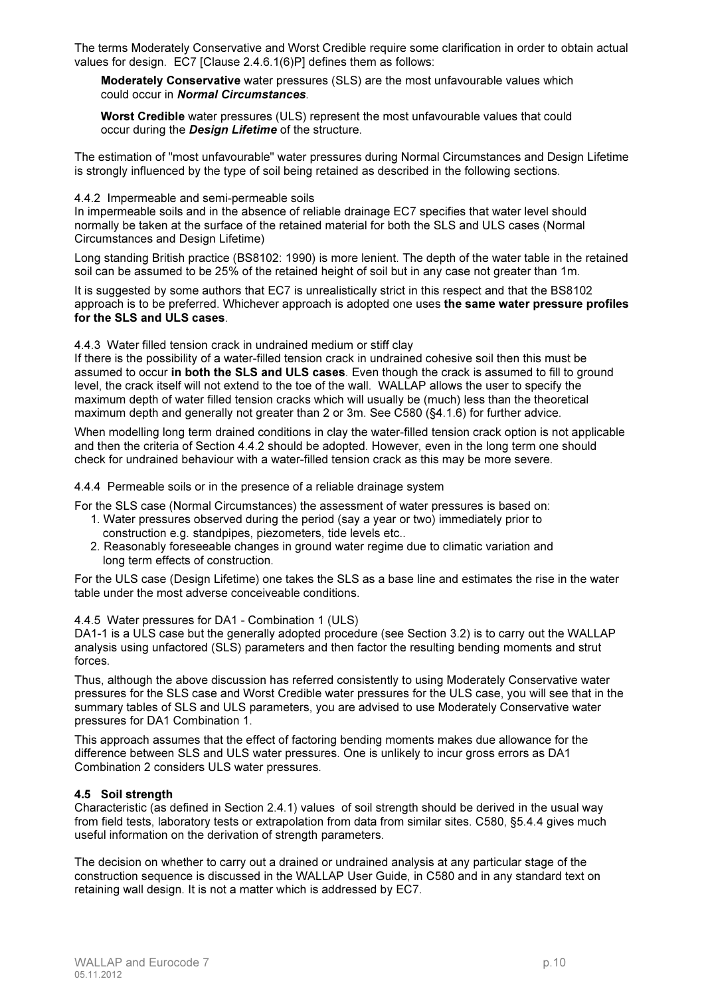The terms Moderately Conservative and Worst Credible require some clarification in order to obtain actual values for design. EC7 [Clause 2.4.6.1(6)P] defines them as follows:

Moderately Conservative water pressures (SLS) are the most unfavourable values which could occur in Normal Circumstances.

Worst Credible water pressures (ULS) represent the most unfavourable values that could occur during the **Design Lifetime** of the structure.

The estimation of "most unfavourable" water pressures during Normal Circumstances and Design Lifetime is strongly influenced by the type of soil being retained as described in the following sections.

#### 4.4.2 Impermeable and semi-permeable soils

In impermeable soils and in the absence of reliable drainage EC7 specifies that water level should normally be taken at the surface of the retained material for both the SLS and ULS cases (Normal Circumstances and Design Lifetime)

Long standing British practice (BS8102: 1990) is more lenient. The depth of the water table in the retained soil can be assumed to be 25% of the retained height of soil but in any case not greater than 1m.

It is suggested by some authors that EC7 is unrealistically strict in this respect and that the BS8102 approach is to be preferred. Whichever approach is adopted one uses the same water pressure profiles for the SLS and ULS cases.

4.4.3 Water filled tension crack in undrained medium or stiff clay

If there is the possibility of a water-filled tension crack in undrained cohesive soil then this must be assumed to occur in both the SLS and ULS cases. Even though the crack is assumed to fill to ground level, the crack itself will not extend to the toe of the wall. WALLAP allows the user to specify the maximum depth of water filled tension cracks which will usually be (much) less than the theoretical maximum depth and generally not greater than 2 or 3m. See C580 (§4.1.6) for further advice.

When modelling long term drained conditions in clay the water-filled tension crack option is not applicable and then the criteria of Section 4.4.2 should be adopted. However, even in the long term one should check for undrained behaviour with a water-filled tension crack as this may be more severe.

4.4.4 Permeable soils or in the presence of a reliable drainage system

For the SLS case (Normal Circumstances) the assessment of water pressures is based on:

- 1. Water pressures observed during the period (say a year or two) immediately prior to construction e.g. standpipes, piezometers, tide levels etc..
- 2. Reasonably foreseeable changes in ground water regime due to climatic variation and long term effects of construction.

For the ULS case (Design Lifetime) one takes the SLS as a base line and estimates the rise in the water table under the most adverse conceiveable conditions.

#### 4.4.5 Water pressures for DA1 - Combination 1 (ULS)

DA1-1 is a ULS case but the generally adopted procedure (see Section 3.2) is to carry out the WALLAP analysis using unfactored (SLS) parameters and then factor the resulting bending moments and strut forces.

Thus, although the above discussion has referred consistently to using Moderately Conservative water pressures for the SLS case and Worst Credible water pressures for the ULS case, you will see that in the summary tables of SLS and ULS parameters, you are advised to use Moderately Conservative water pressures for DA1 Combination 1.

This approach assumes that the effect of factoring bending moments makes due allowance for the difference between SLS and ULS water pressures. One is unlikely to incur gross errors as DA1 Combination 2 considers ULS water pressures.

#### 4.5 Soil strength

Characteristic (as defined in Section 2.4.1) values of soil strength should be derived in the usual way from field tests, laboratory tests or extrapolation from data from similar sites. C580, §5.4.4 gives much useful information on the derivation of strength parameters.

The decision on whether to carry out a drained or undrained analysis at any particular stage of the construction sequence is discussed in the WALLAP User Guide, in C580 and in any standard text on retaining wall design. It is not a matter which is addressed by EC7.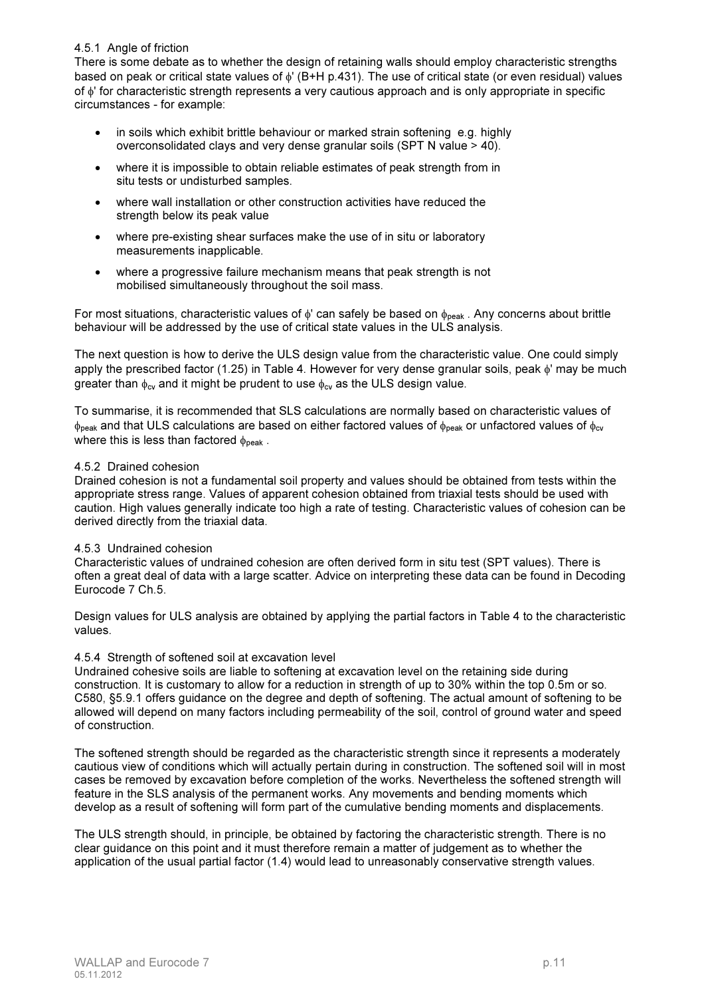#### 4.5.1 Angle of friction

There is some debate as to whether the design of retaining walls should employ characteristic strengths based on peak or critical state values of φ' (B+H p.431). The use of critical state (or even residual) values of φ' for characteristic strength represents a very cautious approach and is only appropriate in specific circumstances - for example:

- in soils which exhibit brittle behaviour or marked strain softening e.g. highly overconsolidated clays and very dense granular soils (SPT N value > 40).
- where it is impossible to obtain reliable estimates of peak strength from in situ tests or undisturbed samples.
- where wall installation or other construction activities have reduced the strength below its peak value
- where pre-existing shear surfaces make the use of in situ or laboratory measurements inapplicable.
- where a progressive failure mechanism means that peak strength is not mobilised simultaneously throughout the soil mass.

For most situations, characteristic values of  $\phi'$  can safely be based on  $\phi_{\text{peak}}$ . Any concerns about brittle behaviour will be addressed by the use of critical state values in the ULS analysis.

The next question is how to derive the ULS design value from the characteristic value. One could simply apply the prescribed factor (1.25) in Table 4. However for very dense granular soils, peak φ' may be much greater than  $\phi_{\text{cv}}$  and it might be prudent to use  $\phi_{\text{cv}}$  as the ULS design value.

To summarise, it is recommended that SLS calculations are normally based on characteristic values of  $\phi_{peak}$  and that ULS calculations are based on either factored values of  $\phi_{peak}$  or unfactored values of  $\phi_{cv}$ where this is less than factored  $\phi_{\text{peak}}$ .

#### 4.5.2 Drained cohesion

Drained cohesion is not a fundamental soil property and values should be obtained from tests within the appropriate stress range. Values of apparent cohesion obtained from triaxial tests should be used with caution. High values generally indicate too high a rate of testing. Characteristic values of cohesion can be derived directly from the triaxial data.

#### 4.5.3 Undrained cohesion

Characteristic values of undrained cohesion are often derived form in situ test (SPT values). There is often a great deal of data with a large scatter. Advice on interpreting these data can be found in Decoding Eurocode 7 Ch.5.

Design values for ULS analysis are obtained by applying the partial factors in Table 4 to the characteristic values.

#### 4.5.4 Strength of softened soil at excavation level

Undrained cohesive soils are liable to softening at excavation level on the retaining side during construction. It is customary to allow for a reduction in strength of up to 30% within the top 0.5m or so. C580, §5.9.1 offers guidance on the degree and depth of softening. The actual amount of softening to be allowed will depend on many factors including permeability of the soil, control of ground water and speed of construction.

The softened strength should be regarded as the characteristic strength since it represents a moderately cautious view of conditions which will actually pertain during in construction. The softened soil will in most cases be removed by excavation before completion of the works. Nevertheless the softened strength will feature in the SLS analysis of the permanent works. Any movements and bending moments which develop as a result of softening will form part of the cumulative bending moments and displacements.

The ULS strength should, in principle, be obtained by factoring the characteristic strength. There is no clear guidance on this point and it must therefore remain a matter of judgement as to whether the application of the usual partial factor (1.4) would lead to unreasonably conservative strength values.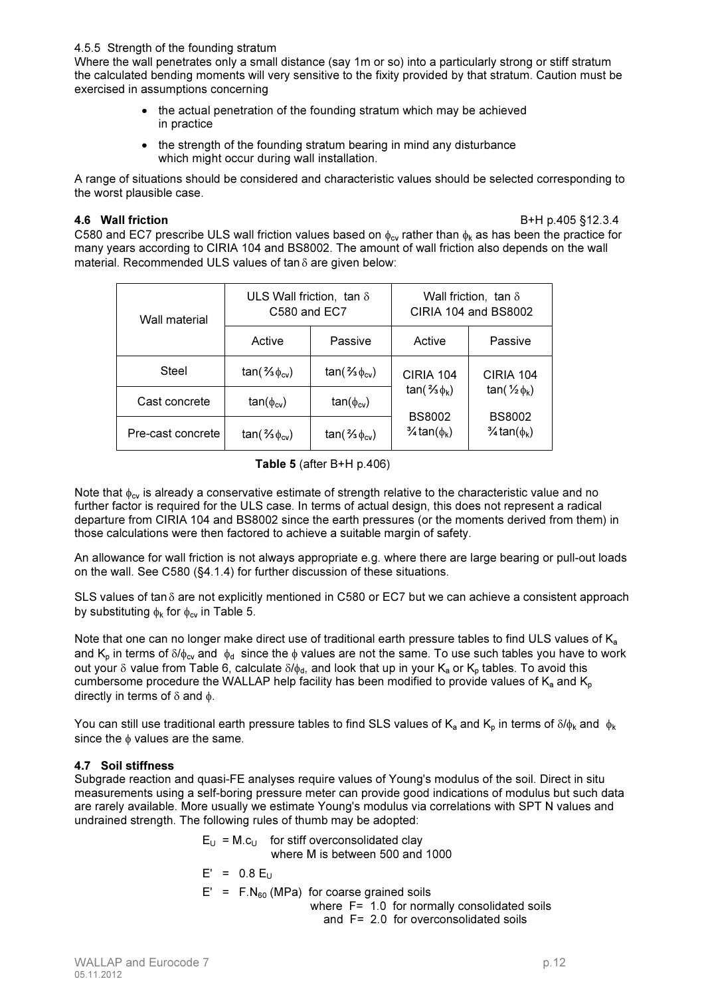#### 4.5.5 Strength of the founding stratum

Where the wall penetrates only a small distance (say 1m or so) into a particularly strong or stiff stratum the calculated bending moments will very sensitive to the fixity provided by that stratum. Caution must be exercised in assumptions concerning

- the actual penetration of the founding stratum which may be achieved in practice
- the strength of the founding stratum bearing in mind any disturbance which might occur during wall installation.

A range of situations should be considered and characteristic values should be selected corresponding to the worst plausible case.

4.6 Wall friction B+H p.405 §12.3.4

C580 and EC7 prescribe ULS wall friction values based on  $\phi_{cv}$  rather than  $\phi_k$  as has been the practice for many years according to CIRIA 104 and BS8002. The amount of wall friction also depends on the wall material. Recommended ULS values of tan δ are given below:

| Wall material     | ULS Wall friction, tan $\delta$<br>C580 and EC7 |                       | Wall friction, tan $\delta$<br>CIRIA 104 and BS8002 |                                               |  |
|-------------------|-------------------------------------------------|-----------------------|-----------------------------------------------------|-----------------------------------------------|--|
|                   | Active                                          | Passive               | Active                                              | Passive                                       |  |
| Steel             | $tan($ % $\phi_{cv})$                           | $tan($ % $\phi_{cv})$ | CIRIA 104                                           | CIRIA 104                                     |  |
| Cast concrete     | $tan(\phi_{cv})$                                | $tan(\phi_{cv})$      | $tan($ % $\phi_k$ )                                 | tan( $\frac{1}{2} \phi_{k}$ )                 |  |
| Pre-cast concrete | $tan($ % $\phi_{cv})$                           | $tan($ % $\phi_{cv})$ | <b>BS8002</b><br>$\frac{3}{4}$ tan $(\phi_k)$       | <b>BS8002</b><br>$\frac{3}{4}$ tan $(\phi_k)$ |  |

Table 5 (after B+H p.406)

Note that  $\phi_{\text{cv}}$  is already a conservative estimate of strength relative to the characteristic value and no further factor is required for the ULS case. In terms of actual design, this does not represent a radical departure from CIRIA 104 and BS8002 since the earth pressures (or the moments derived from them) in those calculations were then factored to achieve a suitable margin of safety.

An allowance for wall friction is not always appropriate e.g. where there are large bearing or pull-out loads on the wall. See C580 (§4.1.4) for further discussion of these situations.

SLS values of tan δ are not explicitly mentioned in C580 or EC7 but we can achieve a consistent approach by substituting  $\phi_k$  for  $\phi_{cv}$  in Table 5.

Note that one can no longer make direct use of traditional earth pressure tables to find ULS values of K<sub>a</sub> and K<sub>p</sub> in terms of  $\delta/\phi_{\text{cv}}$  and  $\phi_{\text{d}}$  since the  $\phi$  values are not the same. To use such tables you have to work out your δ value from Table 6, calculate  $δ/φ<sub>d</sub>$ , and look that up in your K<sub>a</sub> or K<sub>p</sub> tables. To avoid this cumbersome procedure the WALLAP help facility has been modified to provide values of  $K_a$  and  $K_b$ directly in terms of  $\delta$  and  $\phi$ .

You can still use traditional earth pressure tables to find SLS values of K<sub>a</sub> and K<sub>p</sub> in terms of  $\delta/\phi_k$  and  $\phi_k$ since the  $\phi$  values are the same.

#### 4.7 Soil stiffness

Subgrade reaction and quasi-FE analyses require values of Young's modulus of the soil. Direct in situ measurements using a self-boring pressure meter can provide good indications of modulus but such data are rarely available. More usually we estimate Young's modulus via correlations with SPT N values and undrained strength. The following rules of thumb may be adopted:

> $E_{U} = M.c_{U}$  for stiff overconsolidated clay where M is between 500 and 1000

$$
E' = 0.8 E_U
$$

 $E' = F.N<sub>60</sub>$  (MPa) for coarse grained soils

where F= 1.0 for normally consolidated soils and F= 2.0 for overconsolidated soils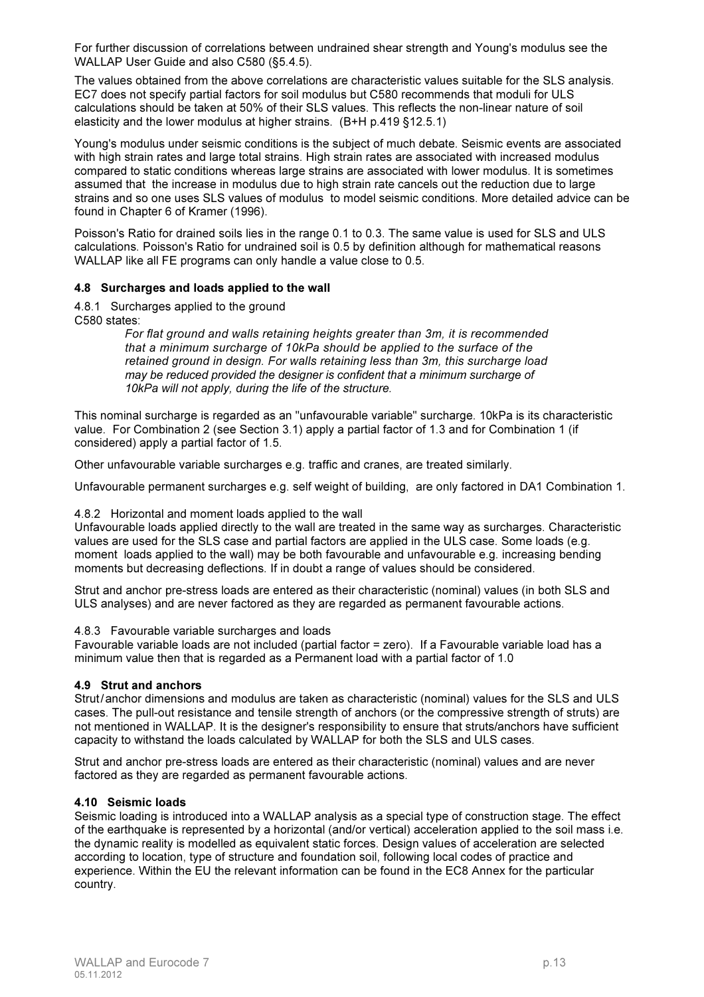For further discussion of correlations between undrained shear strength and Young's modulus see the WALLAP User Guide and also C580 (§5.4.5).

The values obtained from the above correlations are characteristic values suitable for the SLS analysis. EC7 does not specify partial factors for soil modulus but C580 recommends that moduli for ULS calculations should be taken at 50% of their SLS values. This reflects the non-linear nature of soil elasticity and the lower modulus at higher strains. (B+H p.419 §12.5.1)

Young's modulus under seismic conditions is the subject of much debate. Seismic events are associated with high strain rates and large total strains. High strain rates are associated with increased modulus compared to static conditions whereas large strains are associated with lower modulus. It is sometimes assumed that the increase in modulus due to high strain rate cancels out the reduction due to large strains and so one uses SLS values of modulus to model seismic conditions. More detailed advice can be found in Chapter 6 of Kramer (1996).

Poisson's Ratio for drained soils lies in the range 0.1 to 0.3. The same value is used for SLS and ULS calculations. Poisson's Ratio for undrained soil is 0.5 by definition although for mathematical reasons WALLAP like all FE programs can only handle a value close to 0.5.

#### 4.8 Surcharges and loads applied to the wall

4.8.1 Surcharges applied to the ground C580 states:

> *For flat ground and walls retaining heights greater than 3m, it is recommended that a minimum surcharge of 10kPa should be applied to the surface of the retained ground in design. For walls retaining less than 3m, this surcharge load may be reduced provided the designer is confident that a minimum surcharge of 10kPa will not apply, during the life of the structure.*

This nominal surcharge is regarded as an "unfavourable variable" surcharge. 10kPa is its characteristic value. For Combination 2 (see Section 3.1) apply a partial factor of 1.3 and for Combination 1 (if considered) apply a partial factor of 1.5.

Other unfavourable variable surcharges e.g. traffic and cranes, are treated similarly.

Unfavourable permanent surcharges e.g. self weight of building, are only factored in DA1 Combination 1.

#### 4.8.2 Horizontal and moment loads applied to the wall

Unfavourable loads applied directly to the wall are treated in the same way as surcharges. Characteristic values are used for the SLS case and partial factors are applied in the ULS case. Some loads (e.g. moment loads applied to the wall) may be both favourable and unfavourable e.g. increasing bending moments but decreasing deflections. If in doubt a range of values should be considered.

Strut and anchor pre-stress loads are entered as their characteristic (nominal) values (in both SLS and ULS analyses) and are never factored as they are regarded as permanent favourable actions.

#### 4.8.3 Favourable variable surcharges and loads

Favourable variable loads are not included (partial factor = zero). If a Favourable variable load has a minimum value then that is regarded as a Permanent load with a partial factor of 1.0

#### 4.9 Strut and anchors

Strut/anchor dimensions and modulus are taken as characteristic (nominal) values for the SLS and ULS cases. The pull-out resistance and tensile strength of anchors (or the compressive strength of struts) are not mentioned in WALLAP. It is the designer's responsibility to ensure that struts/anchors have sufficient capacity to withstand the loads calculated by WALLAP for both the SLS and ULS cases.

Strut and anchor pre-stress loads are entered as their characteristic (nominal) values and are never factored as they are regarded as permanent favourable actions.

#### 4.10 Seismic loads

Seismic loading is introduced into a WALLAP analysis as a special type of construction stage. The effect of the earthquake is represented by a horizontal (and/or vertical) acceleration applied to the soil mass i.e. the dynamic reality is modelled as equivalent static forces. Design values of acceleration are selected according to location, type of structure and foundation soil, following local codes of practice and experience. Within the EU the relevant information can be found in the EC8 Annex for the particular country.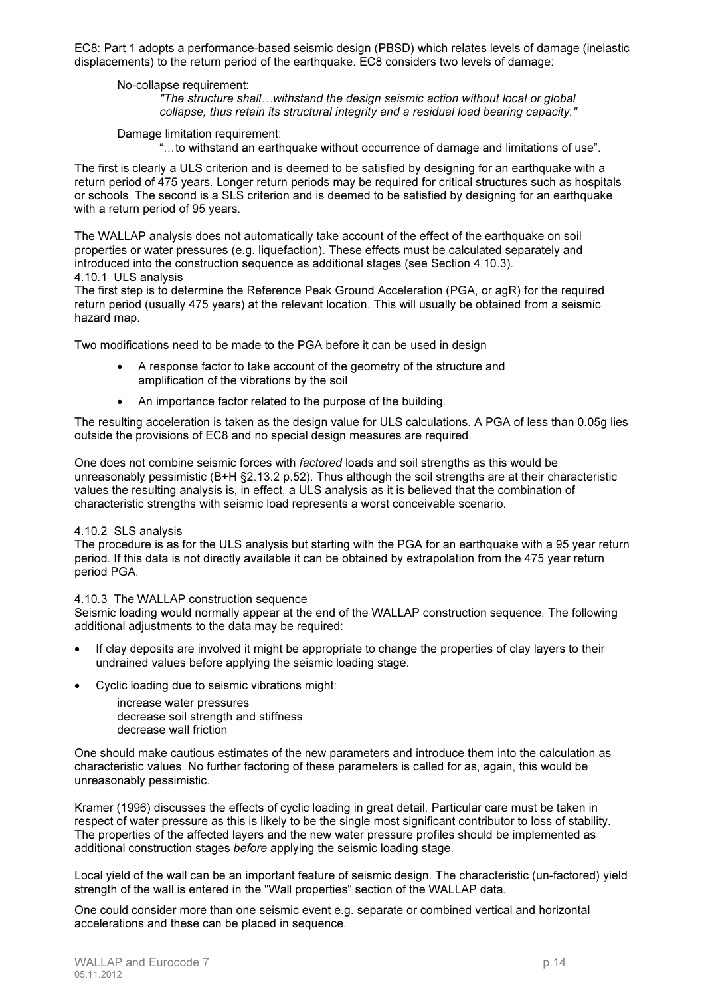EC8: Part 1 adopts a performance-based seismic design (PBSD) which relates levels of damage (inelastic displacements) to the return period of the earthquake. EC8 considers two levels of damage:

#### No-collapse requirement:

*"The structure shall…withstand the design seismic action without local or global collapse, thus retain its structural integrity and a residual load bearing capacity."*

Damage limitation requirement:

"…to withstand an earthquake without occurrence of damage and limitations of use".

The first is clearly a ULS criterion and is deemed to be satisfied by designing for an earthquake with a return period of 475 years. Longer return periods may be required for critical structures such as hospitals or schools. The second is a SLS criterion and is deemed to be satisfied by designing for an earthquake with a return period of 95 years.

The WALLAP analysis does not automatically take account of the effect of the earthquake on soil properties or water pressures (e.g. liquefaction). These effects must be calculated separately and introduced into the construction sequence as additional stages (see Section 4.10.3). 4.10.1 ULS analysis

The first step is to determine the Reference Peak Ground Acceleration (PGA, or agR) for the required return period (usually 475 years) at the relevant location. This will usually be obtained from a seismic hazard map.

Two modifications need to be made to the PGA before it can be used in design

- A response factor to take account of the geometry of the structure and amplification of the vibrations by the soil
- An importance factor related to the purpose of the building.

The resulting acceleration is taken as the design value for ULS calculations. A PGA of less than 0.05g lies outside the provisions of EC8 and no special design measures are required.

One does not combine seismic forces with *factored* loads and soil strengths as this would be unreasonably pessimistic (B+H §2.13.2 p.52). Thus although the soil strengths are at their characteristic values the resulting analysis is, in effect, a ULS analysis as it is believed that the combination of characteristic strengths with seismic load represents a worst conceivable scenario.

#### 4.10.2 SLS analysis

The procedure is as for the ULS analysis but starting with the PGA for an earthquake with a 95 year return period. If this data is not directly available it can be obtained by extrapolation from the 475 year return period PGA.

4.10.3 The WALLAP construction sequence

Seismic loading would normally appear at the end of the WALLAP construction sequence. The following additional adjustments to the data may be required:

- If clay deposits are involved it might be appropriate to change the properties of clay layers to their undrained values before applying the seismic loading stage.
- Cyclic loading due to seismic vibrations might:
	- increase water pressures
	- decrease soil strength and stiffness decrease wall friction

One should make cautious estimates of the new parameters and introduce them into the calculation as characteristic values. No further factoring of these parameters is called for as, again, this would be unreasonably pessimistic.

Kramer (1996) discusses the effects of cyclic loading in great detail. Particular care must be taken in respect of water pressure as this is likely to be the single most significant contributor to loss of stability. The properties of the affected layers and the new water pressure profiles should be implemented as additional construction stages *before* applying the seismic loading stage.

Local yield of the wall can be an important feature of seismic design. The characteristic (un-factored) yield strength of the wall is entered in the "Wall properties" section of the WALLAP data.

One could consider more than one seismic event e.g. separate or combined vertical and horizontal accelerations and these can be placed in sequence.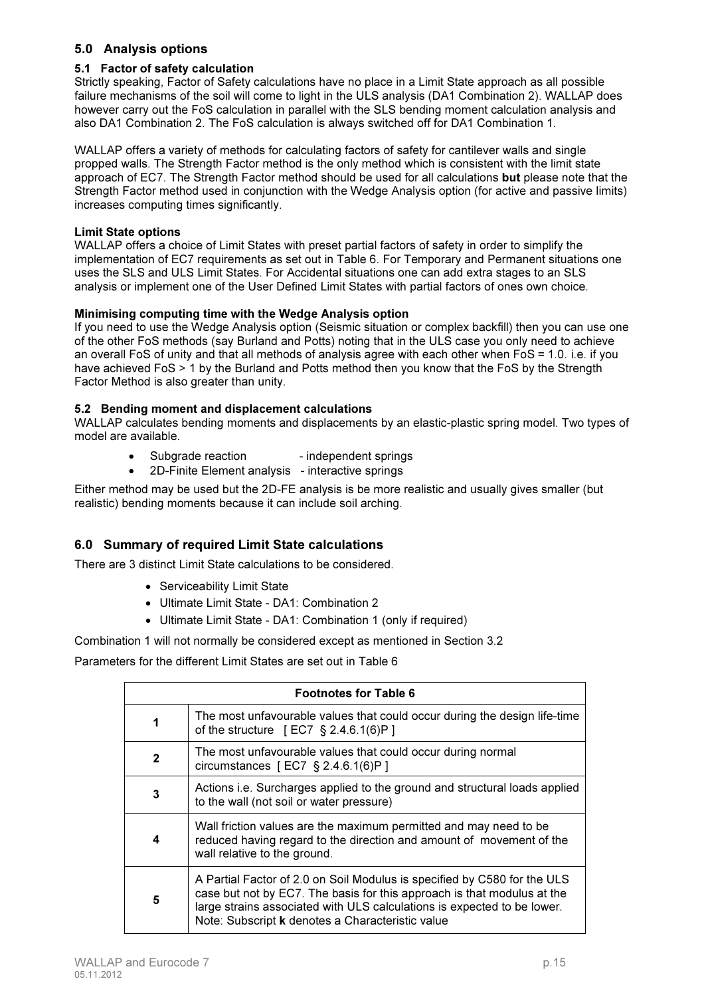# 5.0 Analysis options

### 5.1 Factor of safety calculation

Strictly speaking, Factor of Safety calculations have no place in a Limit State approach as all possible failure mechanisms of the soil will come to light in the ULS analysis (DA1 Combination 2). WALLAP does however carry out the FoS calculation in parallel with the SLS bending moment calculation analysis and also DA1 Combination 2. The FoS calculation is always switched off for DA1 Combination 1.

WALLAP offers a variety of methods for calculating factors of safety for cantilever walls and single propped walls. The Strength Factor method is the only method which is consistent with the limit state approach of EC7. The Strength Factor method should be used for all calculations but please note that the Strength Factor method used in conjunction with the Wedge Analysis option (for active and passive limits) increases computing times significantly.

#### Limit State options

WALLAP offers a choice of Limit States with preset partial factors of safety in order to simplify the implementation of EC7 requirements as set out in Table 6. For Temporary and Permanent situations one uses the SLS and ULS Limit States. For Accidental situations one can add extra stages to an SLS analysis or implement one of the User Defined Limit States with partial factors of ones own choice.

### Minimising computing time with the Wedge Analysis option

If you need to use the Wedge Analysis option (Seismic situation or complex backfill) then you can use one of the other FoS methods (say Burland and Potts) noting that in the ULS case you only need to achieve an overall FoS of unity and that all methods of analysis agree with each other when FoS = 1.0. i.e. if you have achieved FoS > 1 by the Burland and Potts method then you know that the FoS by the Strength Factor Method is also greater than unity.

### 5.2 Bending moment and displacement calculations

WALLAP calculates bending moments and displacements by an elastic-plastic spring model. Two types of model are available.

- Subgrade reaction independent springs
- 2D-Finite Element analysis interactive springs

Either method may be used but the 2D-FE analysis is be more realistic and usually gives smaller (but realistic) bending moments because it can include soil arching.

# 6.0 Summary of required Limit State calculations

There are 3 distinct Limit State calculations to be considered.

- Serviceability Limit State
- Ultimate Limit State DA1: Combination 2
- Ultimate Limit State DA1: Combination 1 (only if required)
- Combination 1 will not normally be considered except as mentioned in Section 3.2

#### Parameters for the different Limit States are set out in Table 6

|              | <b>Footnotes for Table 6</b>                                                                                                                                                                                                                                                       |  |  |  |  |  |  |
|--------------|------------------------------------------------------------------------------------------------------------------------------------------------------------------------------------------------------------------------------------------------------------------------------------|--|--|--|--|--|--|
| 1            | The most unfavourable values that could occur during the design life-time<br>of the structure $[EC7 \S 2.4.6.1(6)P]$                                                                                                                                                               |  |  |  |  |  |  |
| $\mathbf{2}$ | The most unfavourable values that could occur during normal<br>circumstances [EC7 $\S$ 2.4.6.1(6)P]                                                                                                                                                                                |  |  |  |  |  |  |
| 3            | Actions i.e. Surcharges applied to the ground and structural loads applied<br>to the wall (not soil or water pressure)                                                                                                                                                             |  |  |  |  |  |  |
| 4            | Wall friction values are the maximum permitted and may need to be<br>reduced having regard to the direction and amount of movement of the<br>wall relative to the ground.                                                                                                          |  |  |  |  |  |  |
| 5            | A Partial Factor of 2.0 on Soil Modulus is specified by C580 for the ULS<br>case but not by EC7. The basis for this approach is that modulus at the<br>large strains associated with ULS calculations is expected to be lower.<br>Note: Subscript k denotes a Characteristic value |  |  |  |  |  |  |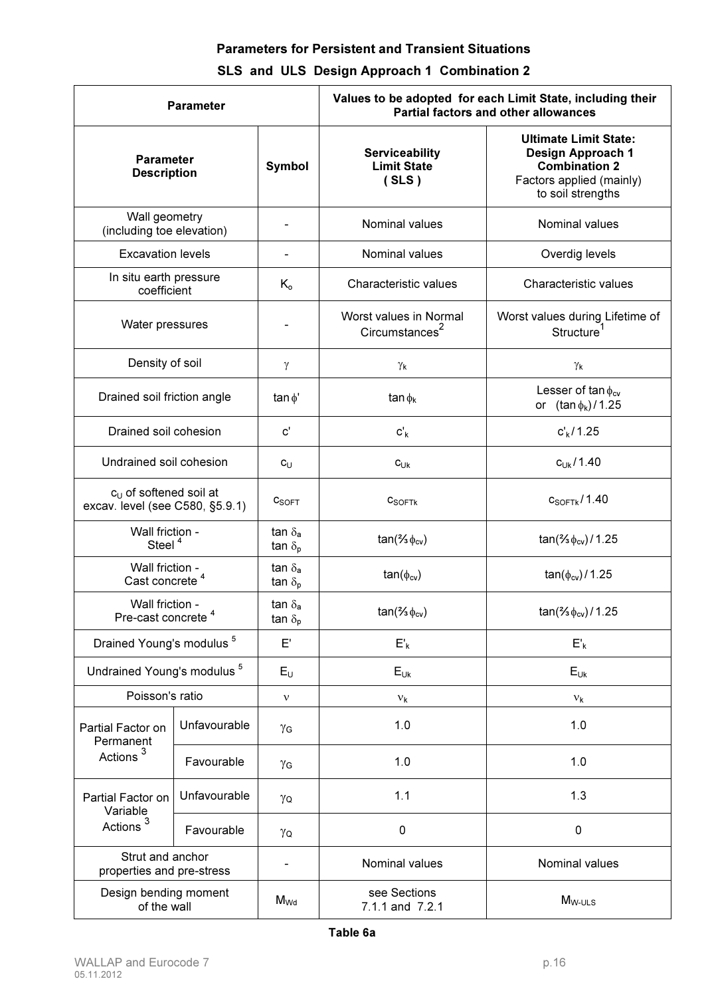# Parameters for Persistent and Transient Situations

# SLS and ULS Design Approach 1 Combination 2

| <b>Parameter</b>                                                      |              |                                                   | Values to be adopted for each Limit State, including their<br><b>Partial factors and other allowances</b> |                                                                                                                            |  |  |
|-----------------------------------------------------------------------|--------------|---------------------------------------------------|-----------------------------------------------------------------------------------------------------------|----------------------------------------------------------------------------------------------------------------------------|--|--|
| <b>Parameter</b><br><b>Description</b>                                |              | <b>Symbol</b>                                     | <b>Serviceability</b><br><b>Limit State</b><br>(SLS)                                                      | <b>Ultimate Limit State:</b><br>Design Approach 1<br><b>Combination 2</b><br>Factors applied (mainly)<br>to soil strengths |  |  |
| Wall geometry<br>(including toe elevation)                            |              |                                                   | Nominal values                                                                                            | Nominal values                                                                                                             |  |  |
| <b>Excavation levels</b>                                              |              |                                                   | Nominal values                                                                                            | Overdig levels                                                                                                             |  |  |
| In situ earth pressure<br>coefficient                                 |              | $K_{o}$                                           | Characteristic values                                                                                     | Characteristic values                                                                                                      |  |  |
| Water pressures                                                       |              |                                                   | Worst values in Normal<br>Circumstances <sup>2</sup>                                                      | Worst values during Lifetime of<br>Structure <sup>1</sup>                                                                  |  |  |
| Density of soil                                                       |              | γ                                                 | Υκ                                                                                                        | Υκ                                                                                                                         |  |  |
| Drained soil friction angle                                           |              | tan $\phi'$                                       | $\tan \phi_k$                                                                                             | Lesser of $\tan \phi_{cv}$<br>or $(tan \phi_k)/1.25$                                                                       |  |  |
| Drained soil cohesion                                                 |              | $\mathsf{c}'$                                     | $c'_{k}$                                                                                                  | $c'_{k}/1.25$                                                                                                              |  |  |
| Undrained soil cohesion                                               |              | $c_U$                                             | $c_{Uk}$                                                                                                  | $c_{Uk}$ /1.40                                                                                                             |  |  |
| c <sub>u</sub> of softened soil at<br>excav. level (see C580, §5.9.1) |              | $c_{\text{SOFT}}$                                 | $c_{\text{SOFTk}}$                                                                                        | $c_{SOFFk}$ /1.40                                                                                                          |  |  |
| Wall friction -<br>Steel <sup>4</sup>                                 |              | tan $\delta_{a}$<br>tan $\delta_{\rm p}$          | $tan($ % $\phi_{cv})$                                                                                     | $tan($ % $\phi_{cv})$ / 1.25                                                                                               |  |  |
| Wall friction -<br>Cast concrete <sup>4</sup>                         |              | tan $\delta_{\mathbf{a}}$<br>tan $\delta_{\sf p}$ | $tan(\phi_{cv})$                                                                                          | $tan(\phi_{cv})/1.25$                                                                                                      |  |  |
| Wall friction -<br>Pre-cast concrete <sup>4</sup>                     |              | tan $\delta_{a}$<br>$\tan \delta_p$               | $tan($ % $\phi_{cv})$                                                                                     | $tan($ % $\phi_{cv})$ / 1.25                                                                                               |  |  |
| Drained Young's modulus <sup>5</sup>                                  |              | $\mathsf{E}'$                                     | $E'_{k}$                                                                                                  | $\mathsf{E}^\prime_{\mathsf{k}}$                                                                                           |  |  |
| Undrained Young's modulus <sup>5</sup>                                |              | $E_U$                                             | $E_{Uk}$                                                                                                  | $E_{Uk}$                                                                                                                   |  |  |
| Poisson's ratio                                                       |              | $\mathbf{v}$                                      | $V_{k}$                                                                                                   | $V_{k}$                                                                                                                    |  |  |
| Partial Factor on<br>Permanent                                        | Unfavourable | γG                                                | 1.0                                                                                                       | 1.0                                                                                                                        |  |  |
| Actions <sup>3</sup>                                                  | Favourable   | γG                                                | 1.0                                                                                                       | 1.0                                                                                                                        |  |  |
| Partial Factor on<br>Variable                                         | Unfavourable | γQ                                                | 1.1                                                                                                       | 1.3                                                                                                                        |  |  |
| Actions <sup>3</sup>                                                  | Favourable   | γQ                                                | $\mathbf 0$                                                                                               | $\pmb{0}$                                                                                                                  |  |  |
| Strut and anchor<br>properties and pre-stress                         |              |                                                   | Nominal values                                                                                            | Nominal values                                                                                                             |  |  |
| Design bending moment<br>of the wall                                  |              | $M_{Wd}$                                          | see Sections<br>7.1.1 and 7.2.1                                                                           | $M_{W\text{-ULS}}$                                                                                                         |  |  |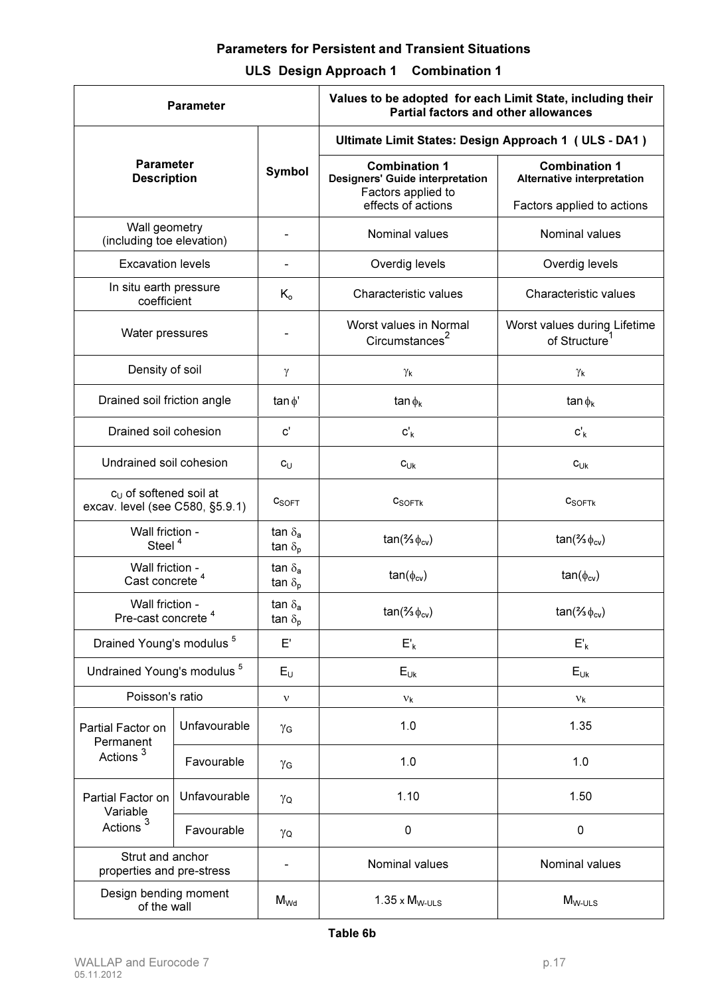# Parameters for Persistent and Transient Situations

# ULS Design Approach 1 Combination 1

| <b>Parameter</b>                                            |              |                                               | Values to be adopted for each Limit State, including their<br><b>Partial factors and other allowances</b>  |                                                                                  |  |  |  |
|-------------------------------------------------------------|--------------|-----------------------------------------------|------------------------------------------------------------------------------------------------------------|----------------------------------------------------------------------------------|--|--|--|
|                                                             |              |                                               | Ultimate Limit States: Design Approach 1 (ULS - DA1)                                                       |                                                                                  |  |  |  |
| <b>Parameter</b><br><b>Description</b>                      |              | <b>Symbol</b>                                 | <b>Combination 1</b><br><b>Designers' Guide interpretation</b><br>Factors applied to<br>effects of actions | <b>Combination 1</b><br>Alternative interpretation<br>Factors applied to actions |  |  |  |
| Wall geometry<br>(including toe elevation)                  |              | $\qquad \qquad \blacksquare$                  | Nominal values                                                                                             | Nominal values                                                                   |  |  |  |
| <b>Excavation levels</b>                                    |              |                                               | Overdig levels                                                                                             | Overdig levels                                                                   |  |  |  |
| In situ earth pressure<br>coefficient                       |              | $K_{o}$                                       | Characteristic values                                                                                      | Characteristic values                                                            |  |  |  |
| Water pressures                                             |              |                                               | Worst values in Normal<br>Circumstances <sup>2</sup>                                                       | Worst values during Lifetime<br>of Structure <sup>1</sup>                        |  |  |  |
| Density of soil                                             |              | $\gamma$                                      | γĸ                                                                                                         | γĸ                                                                               |  |  |  |
| Drained soil friction angle                                 |              | tan $\phi'$                                   | $\tan \phi_k$                                                                                              | $\tan \phi_k$                                                                    |  |  |  |
| Drained soil cohesion                                       |              | $\mathbf{c}'$                                 | $c'_{k}$                                                                                                   | $c'_{k}$                                                                         |  |  |  |
| Undrained soil cohesion                                     |              | $c_{\cup}$                                    | $c_{Uk}$                                                                                                   | $c_{Uk}$                                                                         |  |  |  |
| $cU$ of softened soil at<br>excav. level (see C580, §5.9.1) |              | $c_{\text{SOFT}}$                             | $c_{\text{SOFTk}}$                                                                                         | $c_{\text{SOFTk}}$                                                               |  |  |  |
| Wall friction -<br>Steel <sup>4</sup>                       |              | tan $\delta_{a}$<br>tan $\delta_{\rm p}$      | $tan($ % $\phi_{cv})$                                                                                      | $tan($ % $\phi_{cv})$                                                            |  |  |  |
| Wall friction -<br>Cast concrete <sup>4</sup>               |              | tan $\delta_{a}$<br>tan $\delta_{\rm p}$      | $tan(\phi_{cv})$                                                                                           | $tan(\phi_{cv})$                                                                 |  |  |  |
| Wall friction -<br>Pre-cast concrete <sup>4</sup>           |              | tan $\delta_{\mathbf{a}}$<br>tan $\delta_{p}$ | $tan($ % $\phi_{cv})$                                                                                      | $tan($ % $\phi_{cv})$                                                            |  |  |  |
| Drained Young's modulus <sup>5</sup>                        |              | E'                                            | $E'_{k}$                                                                                                   | $E'_{k}$                                                                         |  |  |  |
| Undrained Young's modulus <sup>5</sup>                      |              | $E_U$                                         | $E_{Uk}$                                                                                                   | $E_{Uk}$                                                                         |  |  |  |
| Poisson's ratio                                             |              | $\mathbf v$                                   | $v_{k}$                                                                                                    | $v_{k}$                                                                          |  |  |  |
| Partial Factor on<br>Permanent                              | Unfavourable | γG                                            | 1.0                                                                                                        | 1.35                                                                             |  |  |  |
| Actions <sup>3</sup>                                        | Favourable   | γG                                            | 1.0                                                                                                        | 1.0                                                                              |  |  |  |
| Partial Factor on<br>Variable                               | Unfavourable | γQ                                            | 1.10                                                                                                       | 1.50                                                                             |  |  |  |
| Actions <sup>3</sup>                                        | Favourable   | γQ                                            | 0                                                                                                          | $\pmb{0}$                                                                        |  |  |  |
| Strut and anchor<br>properties and pre-stress               |              |                                               | Nominal values                                                                                             | Nominal values                                                                   |  |  |  |
| Design bending moment<br>of the wall                        |              | $M_{Wd}$                                      | $1.35 \times M_{W\text{-ULS}}$                                                                             | $M_{W\text{-ULS}}$                                                               |  |  |  |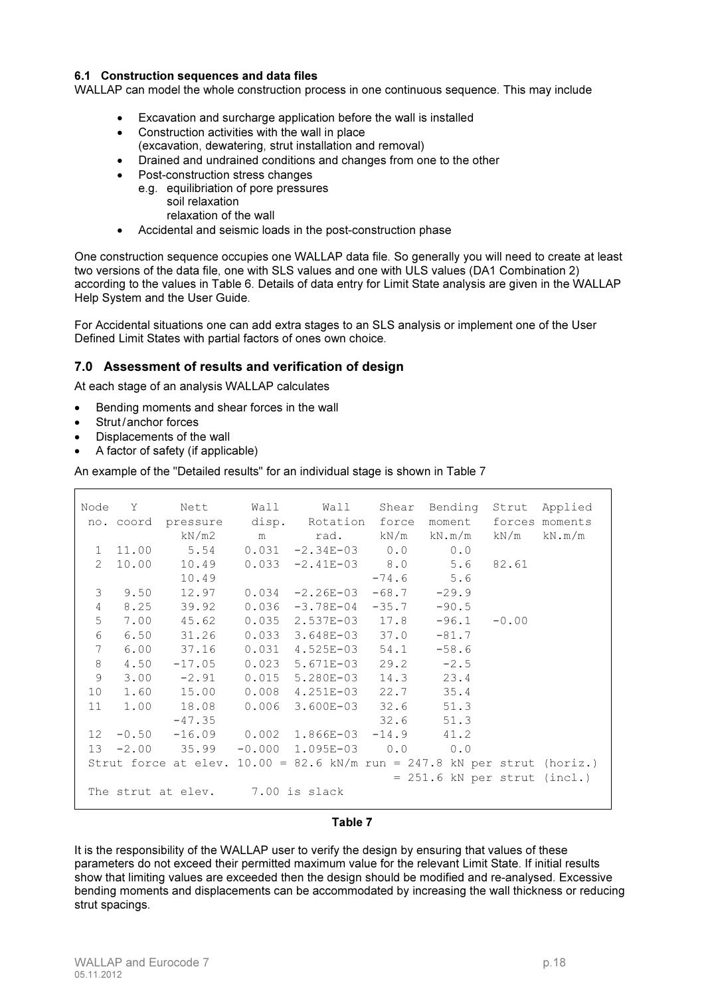#### 6.1 Construction sequences and data files

WALLAP can model the whole construction process in one continuous sequence. This may include

- Excavation and surcharge application before the wall is installed
- Construction activities with the wall in place
- (excavation, dewatering, strut installation and removal)
- Drained and undrained conditions and changes from one to the other
- Post-construction stress changes
	- e.g. equilibriation of pore pressures
		- soil relaxation relaxation of the wall
- Accidental and seismic loads in the post-construction phase

One construction sequence occupies one WALLAP data file. So generally you will need to create at least two versions of the data file, one with SLS values and one with ULS values (DA1 Combination 2) according to the values in Table 6. Details of data entry for Limit State analysis are given in the WALLAP Help System and the User Guide.

For Accidental situations one can add extra stages to an SLS analysis or implement one of the User Defined Limit States with partial factors of ones own choice.

### 7.0 Assessment of results and verification of design

At each stage of an analysis WALLAP calculates

- Bending moments and shear forces in the wall
- Strut/anchor forces
- Displacements of the wall
- A factor of safety (if applicable)

An example of the "Detailed results" for an individual stage is shown in Table 7

|                                  |           | Node Y Nett                                                                |       | Wall Wall Shear Bending Strut Applied |         |                                |         |                |
|----------------------------------|-----------|----------------------------------------------------------------------------|-------|---------------------------------------|---------|--------------------------------|---------|----------------|
|                                  | no. coord | pressure                                                                   |       | disp. Rotation force                  |         | moment                         |         | forces moments |
|                                  |           | kN/m2                                                                      |       | m rad. kN/m kN.m/m kN/m kN.m/m        |         |                                |         |                |
| $\mathbf{1}$                     | 11.00     | 5.54                                                                       |       | $0.031 -2.34E-03$ 0.0                 |         | 0.0                            |         |                |
| $\mathcal{P}$                    | 10.00     | 10.49                                                                      |       | $0.033 -2.41E-03$ 8.0                 |         | 5.6                            | 82.61   |                |
|                                  |           | 10.49                                                                      |       |                                       |         | $-74.6$ 5.6                    |         |                |
| 3                                | 9.50      | 12.97                                                                      |       | $0.034 -2.26E - 03$                   | $-68.7$ | $-29.9$                        |         |                |
| $\overline{4}$                   | 8.25      | 39.92                                                                      | 0.036 | $-3.78E-04$                           | $-35.7$ | $-90.5$                        |         |                |
| 5                                | 7.00      | 45.62                                                                      | 0.035 | 2.537E-03 17.8                        |         | $-96.1$                        | $-0.00$ |                |
| 6                                | 6.50      | 31.26                                                                      | 0.033 | $3.648E - 03$ 37.0                    |         | $-81.7$                        |         |                |
| 7                                | 6.00      | 37.16                                                                      | 0.031 | $4.525E-03$ 54.1                      |         | $-58.6$                        |         |                |
| 8                                | 4.50      | $-17.05$                                                                   | 0.023 | 5.671E-03                             |         | $29.2 -2.5$                    |         |                |
| 9                                | 3.00      | $-2.91$                                                                    | 0.015 | 5.280E-03                             |         | 14.3 23.4                      |         |                |
| 10 <sup>°</sup>                  | 1.60      | 15.00                                                                      | 0.008 | $4.251E-03$ 22.7 35.4                 |         |                                |         |                |
| 11                               | 1.00      | 18.08                                                                      | 0.006 | 3.600E-03                             | 32.6    | 51.3                           |         |                |
|                                  |           | $-47.35$                                                                   |       |                                       | 32.6    | 51.3                           |         |                |
| 12 <sup>7</sup>                  |           | $-0.50$ $-16.09$ 0.002 1.866E-03 $-14.9$ 41.2                              |       |                                       |         |                                |         |                |
| 13                               | $-2.00$   | 35.99                                                                      |       | $-0.000$ 1.095E-03 0.0                |         | 0.0                            |         |                |
|                                  |           | Strut force at elev. $10.00 = 82.6$ kN/m run = 247.8 kN per strut (horiz.) |       |                                       |         |                                |         |                |
|                                  |           |                                                                            |       |                                       |         | $= 251.6$ kN per strut (incl.) |         |                |
| The strut at elev. 7.00 is slack |           |                                                                            |       |                                       |         |                                |         |                |

#### Table 7

It is the responsibility of the WALLAP user to verify the design by ensuring that values of these parameters do not exceed their permitted maximum value for the relevant Limit State. If initial results show that limiting values are exceeded then the design should be modified and re-analysed. Excessive bending moments and displacements can be accommodated by increasing the wall thickness or reducing strut spacings.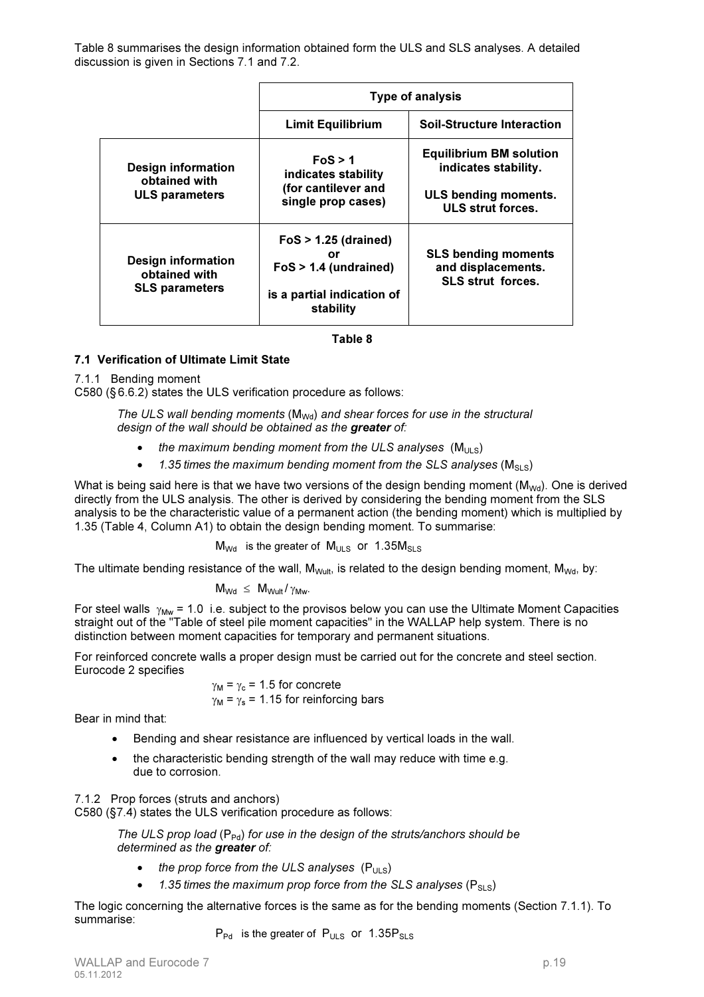Table 8 summarises the design information obtained form the ULS and SLS analyses. A detailed discussion is given in Sections 7.1 and 7.2.

|                                                                     | <b>Type of analysis</b>                                                                            |                                                                              |  |  |
|---------------------------------------------------------------------|----------------------------------------------------------------------------------------------------|------------------------------------------------------------------------------|--|--|
|                                                                     | <b>Limit Equilibrium</b>                                                                           | <b>Soil-Structure Interaction</b>                                            |  |  |
| <b>Design information</b><br>obtained with                          | FoS > 1<br>indicates stability                                                                     | <b>Equilibrium BM solution</b><br>indicates stability.                       |  |  |
| <b>ULS parameters</b>                                               | (for cantilever and<br>single prop cases)                                                          | ULS bending moments.<br>ULS strut forces.                                    |  |  |
| <b>Design information</b><br>obtained with<br><b>SLS parameters</b> | $FoS > 1.25$ (drained)<br>Ωr<br>$FoS > 1.4$ (undrained)<br>is a partial indication of<br>stability | <b>SLS bending moments</b><br>and displacements.<br><b>SLS strut forces.</b> |  |  |

#### Table 8

### 7.1 Verification of Ultimate Limit State

#### 7.1.1 Bending moment

C580 (§ 6.6.2) states the ULS verification procedure as follows:

*The ULS wall bending moments* (M<sub>Wd</sub>) and shear forces for use in the structural *design of the wall should be obtained as the* greater *of:*

- the maximum bending moment from the ULS analyses  $(M_{UUS})$
- 1.35 times the maximum bending moment from the SLS analyses  $(M_{SLS})$

What is being said here is that we have two versions of the design bending moment ( $M_{\text{Wd}}$ ). One is derived directly from the ULS analysis. The other is derived by considering the bending moment from the SLS analysis to be the characteristic value of a permanent action (the bending moment) which is multiplied by 1.35 (Table 4, Column A1) to obtain the design bending moment. To summarise:

 $M_{\text{Wd}}$  is the greater of  $M_{\text{ULS}}$  or 1.35 $M_{\text{SLS}}$ 

The ultimate bending resistance of the wall,  $M_{Wult}$ , is related to the design bending moment,  $M_{Wd}$ , by:

$$
M_{\text{Wd}} \ \leq \ M_{\text{Wult}} / \gamma_{\text{Mw}}.
$$

For steel walls  $\gamma_{\text{Mw}}$  = 1.0 i.e. subject to the provisos below you can use the Ultimate Moment Capacities straight out of the "Table of steel pile moment capacities" in the WALLAP help system. There is no distinction between moment capacities for temporary and permanent situations.

For reinforced concrete walls a proper design must be carried out for the concrete and steel section. Eurocode 2 specifies

> $\gamma_M = \gamma_c = 1.5$  for concrete  $\gamma_M = \gamma_s = 1.15$  for reinforcing bars

Bear in mind that:

- Bending and shear resistance are influenced by vertical loads in the wall.
- the characteristic bending strength of the wall may reduce with time e.g. due to corrosion.

#### 7.1.2 Prop forces (struts and anchors)

C580 (§7.4) states the ULS verification procedure as follows:

*The ULS prop load* (P<sub>Pd</sub>) for use in the design of the struts/anchors should be *determined as the* greater *of:*

- *the prop force from the ULS analyses*  $(P_{U|S})$
- $\bullet$  1.35 times the maximum prop force from the SLS analyses ( $P_{SLS}$ )

The logic concerning the alternative forces is the same as for the bending moments (Section 7.1.1). To summarise:

 $P_{Pd}$  is the greater of  $P_{ULS}$  or 1.35 $P_{SLS}$